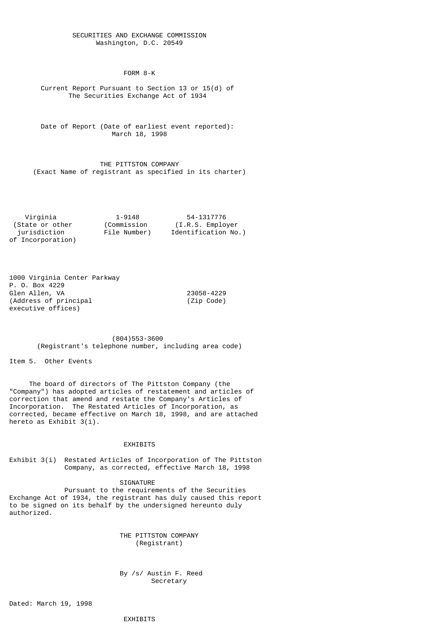## SECURITIES AND EXCHANGE COMMISSION Washington, D.C. 20549

FORM 8-K

 Current Report Pursuant to Section 13 or 15(d) of The Securities Exchange Act of 1934

 Date of Report (Date of earliest event reported): March 18, 1998

 THE PITTSTON COMPANY (Exact Name of registrant as specified in its charter)

 Virginia 1-9148 54-1317776 (State or other jurisdiction File Number) Identification No.) of Incorporation)

1000 Virginia Center Parkway P. O. Box 4229 Glen Allen, VA 23058-4229  $(Address of principal)$ executive offices)

> (804)553-3600 (Registrant's telephone number, including area code)

Item 5. Other Events

 The board of directors of The Pittston Company (the "Company") has adopted articles of restatement and articles of correction that amend and restate the Company's Articles of Incorporation. The Restated Articles of Incorporation, as corrected, became effective on March 18, 1998, and are attached hereto as Exhibit 3(i).

## EXHIBITS

Exhibit 3(i) Restated Articles of Incorporation of The Pittston Company, as corrected, effective March 18, 1998

SIGNATURE

 Pursuant to the requirements of the Securities Exchange Act of 1934, the registrant has duly caused this report to be signed on its behalf by the undersigned hereunto duly authorized.

> THE PITTSTON COMPANY (Registrant)

 By /s/ Austin F. Reed Secretary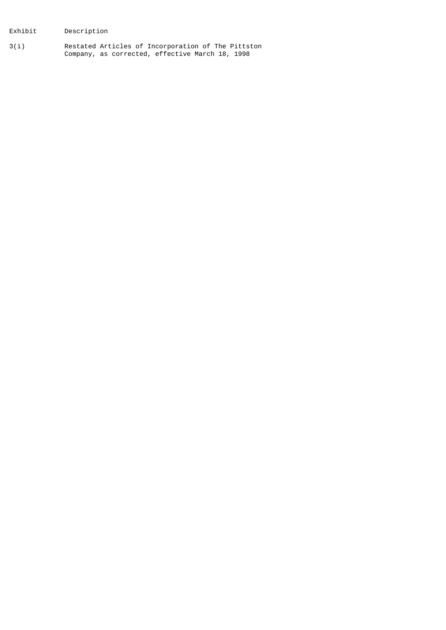Exhibit Description

3(i) Restated Articles of Incorporation of The Pittston Company, as corrected, effective March 18, 1998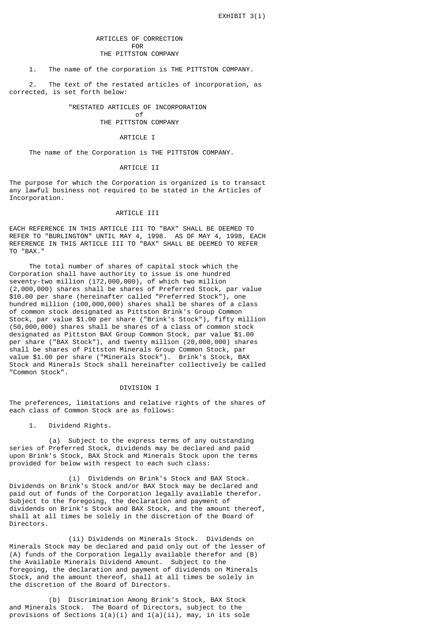# ARTICLES OF CORRECTION **FOR** THE PITTSTON COMPANY

### 1. The name of the corporation is THE PITTSTON COMPANY.

 2. The text of the restated articles of incorporation, as corrected, is set forth below:

# "RESTATED ARTICLES OF INCORPORATION

#### of the contract of the contract of  $\overline{\mathcal{O}}$ THE PITTSTON COMPANY

#### ARTICLE I

The name of the Corporation is THE PITTSTON COMPANY.

#### ARTICLE II

The purpose for which the Corporation is organized is to transact any lawful business not required to be stated in the Articles of Incorporation.

### ARTICLE III

EACH REFERENCE IN THIS ARTICLE III TO "BAX" SHALL BE DEEMED TO REFER TO "BURLINGTON" UNTIL MAY 4, 1998. AS OF MAY 4, 1998, EACH REFERENCE IN THIS ARTICLE III TO "BAX" SHALL BE DEEMED TO REFER TO "BAX."

 The total number of shares of capital stock which the Corporation shall have authority to issue is one hundred seventy-two million (172,000,000), of which two million (2,000,000) shares shall be shares of Preferred Stock, par value \$10.00 per share (hereinafter called "Preferred Stock"), one hundred million (100,000,000) shares shall be shares of a class of common stock designated as Pittston Brink's Group Common Stock, par value \$1.00 per share ("Brink's Stock"), fifty million (50,000,000) shares shall be shares of a class of common stock designated as Pittston BAX Group Common Stock, par value \$1.00 per share ("BAX Stock"), and twenty million (20,000,000) shares shall be shares of Pittston Minerals Group Common Stock, par value \$1.00 per share ("Minerals Stock"). Brink's Stock, BAX Stock and Minerals Stock shall hereinafter collectively be called "Common Stock".

#### DIVISION I

The preferences, limitations and relative rights of the shares of each class of Common Stock are as follows:

1. Dividend Rights.

 (a) Subject to the express terms of any outstanding series of Preferred Stock, dividends may be declared and paid upon Brink's Stock, BAX Stock and Minerals Stock upon the terms provided for below with respect to each such class:

 (i) Dividends on Brink's Stock and BAX Stock. Dividends on Brink's Stock and/or BAX Stock may be declared and paid out of funds of the Corporation legally available therefor. Subject to the foregoing, the declaration and payment of dividends on Brink's Stock and BAX Stock, and the amount thereof, shall at all times be solely in the discretion of the Board of Directors.

 (ii) Dividends on Minerals Stock. Dividends on Minerals Stock may be declared and paid only out of the lesser of (A) funds of the Corporation legally available therefor and (B) the Available Minerals Dividend Amount. Subject to the foregoing, the declaration and payment of dividends on Minerals Stock, and the amount thereof, shall at all times be solely in the discretion of the Board of Directors.

 (b) Discrimination Among Brink's Stock, BAX Stock and Minerals Stock. The Board of Directors, subject to the provisions of Sections  $1(a)(i)$  and  $1(a)(ii)$ , may, in its sole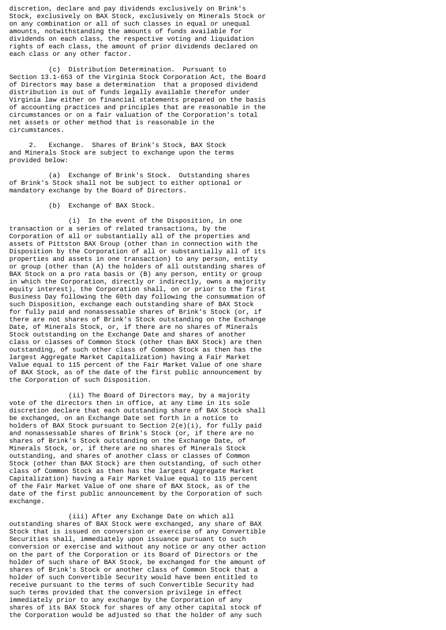discretion, declare and pay dividends exclusively on Brink's Stock, exclusively on BAX Stock, exclusively on Minerals Stock or on any combination or all of such classes in equal or unequal amounts, notwithstanding the amounts of funds available for dividends on each class, the respective voting and liquidation rights of each class, the amount of prior dividends declared on each class or any other factor.

 (c) Distribution Determination. Pursuant to Section 13.1-653 of the Virginia Stock Corporation Act, the Board of Directors may base a determination that a proposed dividend distribution is out of funds legally available therefor under Virginia law either on financial statements prepared on the basis of accounting practices and principles that are reasonable in the circumstances or on a fair valuation of the Corporation's total net assets or other method that is reasonable in the circumstances.

 2. Exchange. Shares of Brink's Stock, BAX Stock and Minerals Stock are subject to exchange upon the terms provided below:

 (a) Exchange of Brink's Stock. Outstanding shares of Brink's Stock shall not be subject to either optional or mandatory exchange by the Board of Directors.

(b) Exchange of BAX Stock.

 (i) In the event of the Disposition, in one transaction or a series of related transactions, by the Corporation of all or substantially all of the properties and assets of Pittston BAX Group (other than in connection with the Disposition by the Corporation of all or substantially all of its properties and assets in one transaction) to any person, entity or group (other than (A) the holders of all outstanding shares of BAX Stock on a pro rata basis or (B) any person, entity or group in which the Corporation, directly or indirectly, owns a majority equity interest), the Corporation shall, on or prior to the first Business Day following the 60th day following the consummation of such Disposition, exchange each outstanding share of BAX Stock for fully paid and nonassessable shares of Brink's Stock (or, if there are not shares of Brink's Stock outstanding on the Exchange Date, of Minerals Stock, or, if there are no shares of Minerals Stock outstanding on the Exchange Date and shares of another class or classes of Common Stock (other than BAX Stock) are then outstanding, of such other class of Common Stock as then has the largest Aggregate Market Capitalization) having a Fair Market Value equal to 115 percent of the Fair Market Value of one share of BAX Stock, as of the date of the first public announcement by the Corporation of such Disposition.

 (ii) The Board of Directors may, by a majority vote of the directors then in office, at any time in its sole discretion declare that each outstanding share of BAX Stock shall be exchanged, on an Exchange Date set forth in a notice to holders of BAX Stock pursuant to Section  $2(e)(i)$ , for fully paid and nonassessable shares of Brink's Stock (or, if there are no shares of Brink's Stock outstanding on the Exchange Date, of Minerals Stock, or, if there are no shares of Minerals Stock outstanding, and shares of another class or classes of Common Stock (other than BAX Stock) are then outstanding, of such other class of Common Stock as then has the largest Aggregate Market Capitalization) having a Fair Market Value equal to 115 percent of the Fair Market Value of one share of BAX Stock, as of the date of the first public announcement by the Corporation of such exchange.

 (iii) After any Exchange Date on which all outstanding shares of BAX Stock were exchanged, any share of BAX Stock that is issued on conversion or exercise of any Convertible Securities shall, immediately upon issuance pursuant to such conversion or exercise and without any notice or any other action on the part of the Corporation or its Board of Directors or the holder of such share of BAX Stock, be exchanged for the amount of shares of Brink's Stock or another class of Common Stock that a holder of such Convertible Security would have been entitled to receive pursuant to the terms of such Convertible Security had such terms provided that the conversion privilege in effect immediately prior to any exchange by the Corporation of any shares of its BAX Stock for shares of any other capital stock of the Corporation would be adjusted so that the holder of any such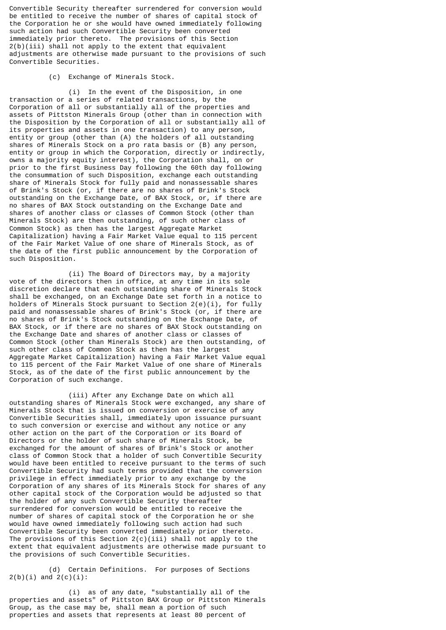Convertible Security thereafter surrendered for conversion would be entitled to receive the number of shares of capital stock of the Corporation he or she would have owned immediately following such action had such Convertible Security been converted immediately prior thereto. The provisions of this Section 2(b)(iii) shall not apply to the extent that equivalent adjustments are otherwise made pursuant to the provisions of such Convertible Securities.

## (c) Exchange of Minerals Stock.

 (i) In the event of the Disposition, in one transaction or a series of related transactions, by the Corporation of all or substantially all of the properties and assets of Pittston Minerals Group (other than in connection with the Disposition by the Corporation of all or substantially all of its properties and assets in one transaction) to any person, entity or group (other than (A) the holders of all outstanding shares of Minerals Stock on a pro rata basis or (B) any person, entity or group in which the Corporation, directly or indirectly, owns a majority equity interest), the Corporation shall, on or prior to the first Business Day following the 60th day following the consummation of such Disposition, exchange each outstanding share of Minerals Stock for fully paid and nonassessable shares of Brink's Stock (or, if there are no shares of Brink's Stock outstanding on the Exchange Date, of BAX Stock, or, if there are no shares of BAX Stock outstanding on the Exchange Date and shares of another class or classes of Common Stock (other than Minerals Stock) are then outstanding, of such other class of Common Stock) as then has the largest Aggregate Market Capitalization) having a Fair Market Value equal to 115 percent of the Fair Market Value of one share of Minerals Stock, as of the date of the first public announcement by the Corporation of such Disposition.

 (ii) The Board of Directors may, by a majority vote of the directors then in office, at any time in its sole discretion declare that each outstanding share of Minerals Stock shall be exchanged, on an Exchange Date set forth in a notice to holders of Minerals Stock pursuant to Section  $2(e)(i)$ , for fully paid and nonassessable shares of Brink's Stock (or, if there are no shares of Brink's Stock outstanding on the Exchange Date, of BAX Stock, or if there are no shares of BAX Stock outstanding on the Exchange Date and shares of another class or classes of Common Stock (other than Minerals Stock) are then outstanding, of such other class of Common Stock as then has the largest Aggregate Market Capitalization) having a Fair Market Value equal to 115 percent of the Fair Market Value of one share of Minerals Stock, as of the date of the first public announcement by the Corporation of such exchange.

 (iii) After any Exchange Date on which all outstanding shares of Minerals Stock were exchanged, any share of Minerals Stock that is issued on conversion or exercise of any Convertible Securities shall, immediately upon issuance pursuant to such conversion or exercise and without any notice or any other action on the part of the Corporation or its Board of Directors or the holder of such share of Minerals Stock, be exchanged for the amount of shares of Brink's Stock or another class of Common Stock that a holder of such Convertible Security would have been entitled to receive pursuant to the terms of such Convertible Security had such terms provided that the conversion privilege in effect immediately prior to any exchange by the Corporation of any shares of its Minerals Stock for shares of any other capital stock of the Corporation would be adjusted so that the holder of any such Convertible Security thereafter surrendered for conversion would be entitled to receive the number of shares of capital stock of the Corporation he or she would have owned immediately following such action had such Convertible Security been converted immediately prior thereto. The provisions of this Section  $2(c)(iii)$  shall not apply to the extent that equivalent adjustments are otherwise made pursuant to the provisions of such Convertible Securities.

 (d) Certain Definitions. For purposes of Sections  $2(b)(i)$  and  $2(c)(i)$ :

 (i) as of any date, "substantially all of the properties and assets" of Pittston BAX Group or Pittston Minerals Group, as the case may be, shall mean a portion of such properties and assets that represents at least 80 percent of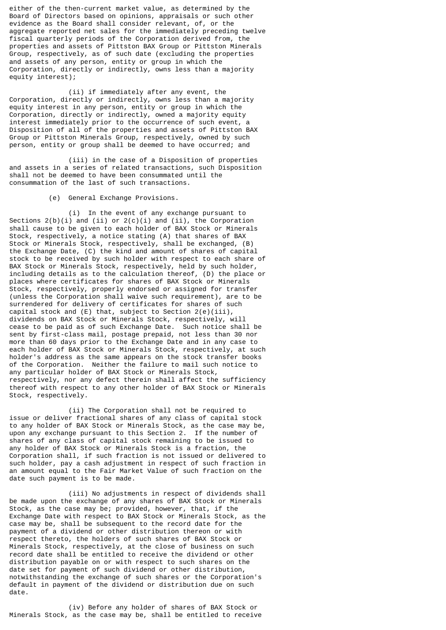either of the then-current market value, as determined by the Board of Directors based on opinions, appraisals or such other evidence as the Board shall consider relevant, of, or the aggregate reported net sales for the immediately preceding twelve fiscal quarterly periods of the Corporation derived from, the properties and assets of Pittston BAX Group or Pittston Minerals Group, respectively, as of such date (excluding the properties and assets of any person, entity or group in which the Corporation, directly or indirectly, owns less than a majority equity interest);

 (ii) if immediately after any event, the Corporation, directly or indirectly, owns less than a majority equity interest in any person, entity or group in which the Corporation, directly or indirectly, owned a majority equity interest immediately prior to the occurrence of such event, a Disposition of all of the properties and assets of Pittston BAX Group or Pittston Minerals Group, respectively, owned by such person, entity or group shall be deemed to have occurred; and

 (iii) in the case of a Disposition of properties and assets in a series of related transactions, such Disposition shall not be deemed to have been consummated until the consummation of the last of such transactions.

(e) General Exchange Provisions.

 (i) In the event of any exchange pursuant to Sections  $2(b)(i)$  and (ii) or  $2(c)(i)$  and (ii), the Corporation shall cause to be given to each holder of BAX Stock or Minerals Stock, respectively, a notice stating (A) that shares of BAX Stock or Minerals Stock, respectively, shall be exchanged, (B) the Exchange Date, (C) the kind and amount of shares of capital stock to be received by such holder with respect to each share of BAX Stock or Minerals Stock, respectively, held by such holder, including details as to the calculation thereof, (D) the place or places where certificates for shares of BAX Stock or Minerals Stock, respectively, properly endorsed or assigned for transfer (unless the Corporation shall waive such requirement), are to be surrendered for delivery of certificates for shares of such capital stock and (E) that, subject to Section 2(e)(iii), dividends on BAX Stock or Minerals Stock, respectively, will cease to be paid as of such Exchange Date. Such notice shall be sent by first-class mail, postage prepaid, not less than 30 nor more than 60 days prior to the Exchange Date and in any case to each holder of BAX Stock or Minerals Stock, respectively, at such holder's address as the same appears on the stock transfer books of the Corporation. Neither the failure to mail such notice to any particular holder of BAX Stock or Minerals Stock, respectively, nor any defect therein shall affect the sufficiency thereof with respect to any other holder of BAX Stock or Minerals Stock, respectively.

 (ii) The Corporation shall not be required to issue or deliver fractional shares of any class of capital stock to any holder of BAX Stock or Minerals Stock, as the case may be, upon any exchange pursuant to this Section 2. If the number of shares of any class of capital stock remaining to be issued to any holder of BAX Stock or Minerals Stock is a fraction, the Corporation shall, if such fraction is not issued or delivered to such holder, pay a cash adjustment in respect of such fraction in an amount equal to the Fair Market Value of such fraction on the date such payment is to be made.

 (iii) No adjustments in respect of dividends shall be made upon the exchange of any shares of BAX Stock or Minerals Stock, as the case may be; provided, however, that, if the Exchange Date with respect to BAX Stock or Minerals Stock, as the case may be, shall be subsequent to the record date for the payment of a dividend or other distribution thereon or with respect thereto, the holders of such shares of BAX Stock or Minerals Stock, respectively, at the close of business on such record date shall be entitled to receive the dividend or other distribution payable on or with respect to such shares on the date set for payment of such dividend or other distribution, notwithstanding the exchange of such shares or the Corporation's default in payment of the dividend or distribution due on such date.

 (iv) Before any holder of shares of BAX Stock or Minerals Stock, as the case may be, shall be entitled to receive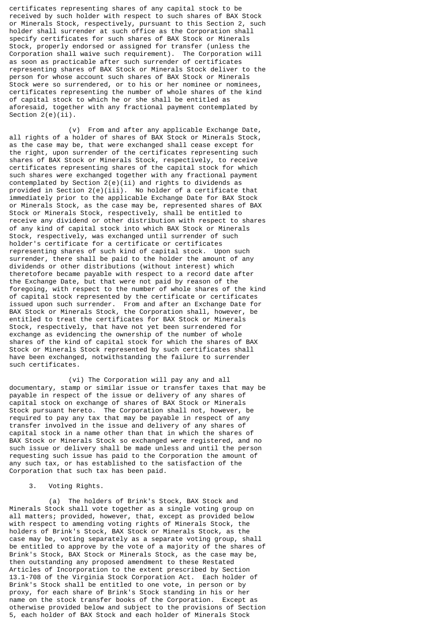certificates representing shares of any capital stock to be received by such holder with respect to such shares of BAX Stock or Minerals Stock, respectively, pursuant to this Section 2, such holder shall surrender at such office as the Corporation shall specify certificates for such shares of BAX Stock or Minerals Stock, properly endorsed or assigned for transfer (unless the Corporation shall waive such requirement). The Corporation will as soon as practicable after such surrender of certificates representing shares of BAX Stock or Minerals Stock deliver to the person for whose account such shares of BAX Stock or Minerals Stock were so surrendered, or to his or her nominee or nominees, certificates representing the number of whole shares of the kind of capital stock to which he or she shall be entitled as aforesaid, together with any fractional payment contemplated by Section 2(e)(ii).

 (v) From and after any applicable Exchange Date, all rights of a holder of shares of BAX Stock or Minerals Stock, as the case may be, that were exchanged shall cease except for the right, upon surrender of the certificates representing such shares of BAX Stock or Minerals Stock, respectively, to receive certificates representing shares of the capital stock for which such shares were exchanged together with any fractional payment contemplated by Section  $2(e)(ii)$  and rights to dividends as provided in Section 2(e)(iii). No holder of a certificate that immediately prior to the applicable Exchange Date for BAX Stock or Minerals Stock, as the case may be, represented shares of BAX Stock or Minerals Stock, respectively, shall be entitled to receive any dividend or other distribution with respect to shares of any kind of capital stock into which BAX Stock or Minerals Stock, respectively, was exchanged until surrender of such holder's certificate for a certificate or certificates representing shares of such kind of capital stock. Upon such surrender, there shall be paid to the holder the amount of any dividends or other distributions (without interest) which theretofore became payable with respect to a record date after the Exchange Date, but that were not paid by reason of the foregoing, with respect to the number of whole shares of the kind of capital stock represented by the certificate or certificates issued upon such surrender. From and after an Exchange Date for BAX Stock or Minerals Stock, the Corporation shall, however, be entitled to treat the certificates for BAX Stock or Minerals Stock, respectively, that have not yet been surrendered for exchange as evidencing the ownership of the number of whole shares of the kind of capital stock for which the shares of BAX Stock or Minerals Stock represented by such certificates shall have been exchanged, notwithstanding the failure to surrender such certificates.

 (vi) The Corporation will pay any and all documentary, stamp or similar issue or transfer taxes that may be payable in respect of the issue or delivery of any shares of capital stock on exchange of shares of BAX Stock or Minerals Stock pursuant hereto. The Corporation shall not, however, be required to pay any tax that may be payable in respect of any transfer involved in the issue and delivery of any shares of capital stock in a name other than that in which the shares of BAX Stock or Minerals Stock so exchanged were registered, and no such issue or delivery shall be made unless and until the person requesting such issue has paid to the Corporation the amount of any such tax, or has established to the satisfaction of the Corporation that such tax has been paid.

# 3. Voting Rights.

 (a) The holders of Brink's Stock, BAX Stock and Minerals Stock shall vote together as a single voting group on all matters; provided, however, that, except as provided below with respect to amending voting rights of Minerals Stock, the holders of Brink's Stock, BAX Stock or Minerals Stock, as the case may be, voting separately as a separate voting group, shall be entitled to approve by the vote of a majority of the shares of Brink's Stock, BAX Stock or Minerals Stock, as the case may be, then outstanding any proposed amendment to these Restated Articles of Incorporation to the extent prescribed by Section 13.1-708 of the Virginia Stock Corporation Act. Each holder of Brink's Stock shall be entitled to one vote, in person or by proxy, for each share of Brink's Stock standing in his or her name on the stock transfer books of the Corporation. Except as otherwise provided below and subject to the provisions of Section 5, each holder of BAX Stock and each holder of Minerals Stock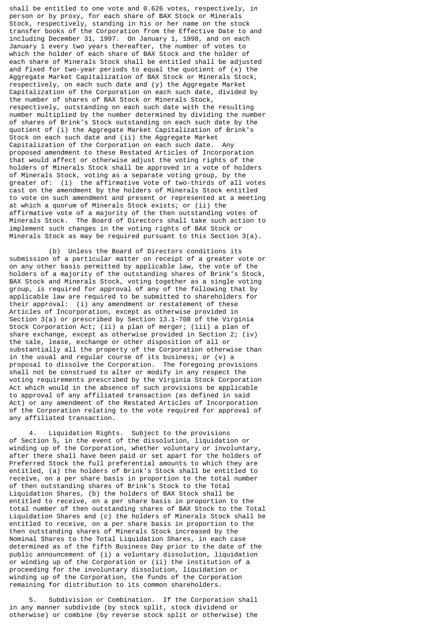shall be entitled to one vote and 0.626 votes, respectively, in person or by proxy, for each share of BAX Stock or Minerals Stock, respectively, standing in his or her name on the stock transfer books of the Corporation from the Effective Date to and including December 31, 1997. On January 1, 1998, and on each January 1 every two years thereafter, the number of votes to which the holder of each share of BAX Stock and the holder of each share of Minerals Stock shall be entitled shall be adjusted and fixed for two-year periods to equal the quotient of  $(x)$  the Aggregate Market Capitalization of BAX Stock or Minerals Stock, respectively, on each such date and (y) the Aggregate Market Capitalization of the Corporation on each such date, divided by the number of shares of BAX Stock or Minerals Stock, respectively, outstanding on each such date with the resulting number multiplied by the number determined by dividing the number of shares of Brink's Stock outstanding on each such date by the quotient of (i) the Aggregate Market Capitalization of Brink's Stock on each such date and (ii) the Aggregate Market Capitalization of the Corporation on each such date. Any proposed amendment to these Restated Articles of Incorporation that would affect or otherwise adjust the voting rights of the holders of Minerals Stock shall be approved in a vote of holders of Minerals Stock, voting as a separate voting group, by the greater of: (i) the affirmative vote of two-thirds of all votes cast on the amendment by the holders of Minerals Stock entitled to vote on such amendment and present or represented at a meeting at which a quorum of Minerals Stock exists; or (ii) the affirmative vote of a majority of the then outstanding votes of Minerals Stock. The Board of Directors shall take such action to implement such changes in the voting rights of BAX Stock or Minerals Stock as may be required pursuant to this Section 3(a).

 (b) Unless the Board of Directors conditions its submission of a particular matter on receipt of a greater vote or on any other basis permitted by applicable law, the vote of the holders of a majority of the outstanding shares of Brink's Stock, BAX Stock and Minerals Stock, voting together as a single voting group, is required for approval of any of the following that by applicable law are required to be submitted to shareholders for their approval: (i) any amendment or restatement of these Articles of Incorporation, except as otherwise provided in Section 3(a) or prescribed by Section 13.1-708 of the Virginia Stock Corporation Act; (ii) a plan of merger; (iii) a plan of share exchange, except as otherwise provided in Section 2; (iv) the sale, lease, exchange or other disposition of all or substantially all the property of the Corporation otherwise than in the usual and regular course of its business; or (v) a proposal to dissolve the Corporation. The foregoing provisions shall not be construed to alter or modify in any respect the voting requirements prescribed by the Virginia Stock Corporation Act which would in the absence of such provisions be applicable to approval of any affiliated transaction (as defined in said Act) or any amendment of the Restated Articles of Incorporation of the Corporation relating to the vote required for approval of any affiliated transaction.

 4. Liquidation Rights. Subject to the provisions of Section 5, in the event of the dissolution, liquidation or winding up of the Corporation, whether voluntary or involuntary, after there shall have been paid or set apart for the holders of Preferred Stock the full preferential amounts to which they are entitled, (a) the holders of Brink's Stock shall be entitled to receive, on a per share basis in proportion to the total number of then outstanding shares of Brink's Stock to the Total Liquidation Shares, (b) the holders of BAX Stock shall be entitled to receive, on a per share basis in proportion to the total number of then outstanding shares of BAX Stock to the Total Liquidation Shares and (c) the holders of Minerals Stock shall be entitled to receive, on a per share basis in proportion to the then outstanding shares of Minerals Stock increased by the Nominal Shares to the Total Liquidation Shares, in each case determined as of the fifth Business Day prior to the date of the public announcement of (i) a voluntary dissolution, liquidation or winding up of the Corporation or (ii) the institution of a proceeding for the involuntary dissolution, liquidation or winding up of the Corporation, the funds of the Corporation remaining for distribution to its common shareholders.

Subdivision or Combination. If the Corporation shall in any manner subdivide (by stock split, stock dividend or otherwise) or combine (by reverse stock split or otherwise) the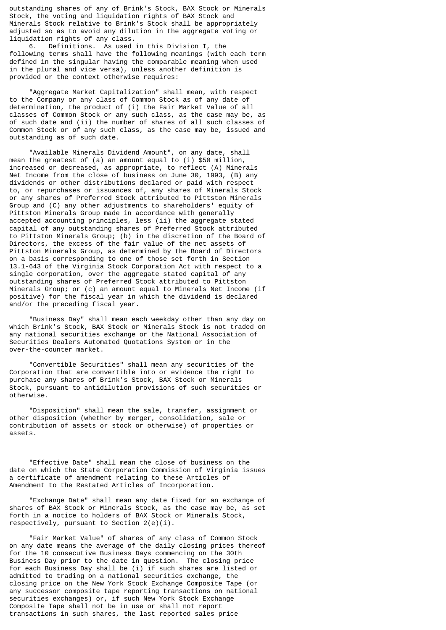outstanding shares of any of Brink's Stock, BAX Stock or Minerals Stock, the voting and liquidation rights of BAX Stock and Minerals Stock relative to Brink's Stock shall be appropriately adjusted so as to avoid any dilution in the aggregate voting or liquidation rights of any class.

 6. Definitions. As used in this Division I, the following terms shall have the following meanings (with each term defined in the singular having the comparable meaning when used in the plural and vice versa), unless another definition is provided or the context otherwise requires:

 "Aggregate Market Capitalization" shall mean, with respect to the Company or any class of Common Stock as of any date of determination, the product of (i) the Fair Market Value of all classes of Common Stock or any such class, as the case may be, as of such date and (ii) the number of shares of all such classes of Common Stock or of any such class, as the case may be, issued and outstanding as of such date.

 "Available Minerals Dividend Amount", on any date, shall mean the greatest of (a) an amount equal to (i) \$50 million, increased or decreased, as appropriate, to reflect (A) Minerals Net Income from the close of business on June 30, 1993, (B) any dividends or other distributions declared or paid with respect to, or repurchases or issuances of, any shares of Minerals Stock or any shares of Preferred Stock attributed to Pittston Minerals Group and (C) any other adjustments to shareholders' equity of Pittston Minerals Group made in accordance with generally accepted accounting principles, less (ii) the aggregate stated capital of any outstanding shares of Preferred Stock attributed to Pittston Minerals Group; (b) in the discretion of the Board of Directors, the excess of the fair value of the net assets of Pittston Minerals Group, as determined by the Board of Directors on a basis corresponding to one of those set forth in Section 13.1-643 of the Virginia Stock Corporation Act with respect to a single corporation, over the aggregate stated capital of any outstanding shares of Preferred Stock attributed to Pittston Minerals Group; or (c) an amount equal to Minerals Net Income (if positive) for the fiscal year in which the dividend is declared and/or the preceding fiscal year.

 "Business Day" shall mean each weekday other than any day on which Brink's Stock, BAX Stock or Minerals Stock is not traded on any national securities exchange or the National Association of Securities Dealers Automated Quotations System or in the over-the-counter market.

 "Convertible Securities" shall mean any securities of the Corporation that are convertible into or evidence the right to purchase any shares of Brink's Stock, BAX Stock or Minerals Stock, pursuant to antidilution provisions of such securities or otherwise.

 "Disposition" shall mean the sale, transfer, assignment or other disposition (whether by merger, consolidation, sale or contribution of assets or stock or otherwise) of properties or assets.

 "Effective Date" shall mean the close of business on the date on which the State Corporation Commission of Virginia issues a certificate of amendment relating to these Articles of Amendment to the Restated Articles of Incorporation.

 "Exchange Date" shall mean any date fixed for an exchange of shares of BAX Stock or Minerals Stock, as the case may be, as set forth in a notice to holders of BAX Stock or Minerals Stock, respectively, pursuant to Section 2(e)(i).

 "Fair Market Value" of shares of any class of Common Stock on any date means the average of the daily closing prices thereof for the 10 consecutive Business Days commencing on the 30th Business Day prior to the date in question. The closing price for each Business Day shall be (i) if such shares are listed or admitted to trading on a national securities exchange, the closing price on the New York Stock Exchange Composite Tape (or any successor composite tape reporting transactions on national securities exchanges) or, if such New York Stock Exchange Composite Tape shall not be in use or shall not report transactions in such shares, the last reported sales price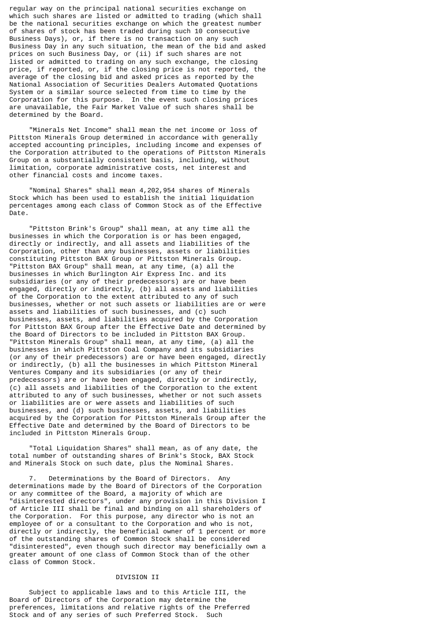regular way on the principal national securities exchange on which such shares are listed or admitted to trading (which shall be the national securities exchange on which the greatest number of shares of stock has been traded during such 10 consecutive Business Days), or, if there is no transaction on any such Business Day in any such situation, the mean of the bid and asked prices on such Business Day, or (ii) if such shares are not listed or admitted to trading on any such exchange, the closing price, if reported, or, if the closing price is not reported, the average of the closing bid and asked prices as reported by the National Association of Securities Dealers Automated Quotations System or a similar source selected from time to time by the Corporation for this purpose. In the event such closing prices are unavailable, the Fair Market Value of such shares shall be determined by the Board.

 "Minerals Net Income" shall mean the net income or loss of Pittston Minerals Group determined in accordance with generally accepted accounting principles, including income and expenses of the Corporation attributed to the operations of Pittston Minerals Group on a substantially consistent basis, including, without limitation, corporate administrative costs, net interest and other financial costs and income taxes.

 "Nominal Shares" shall mean 4,202,954 shares of Minerals Stock which has been used to establish the initial liquidation percentages among each class of Common Stock as of the Effective Date.

 "Pittston Brink's Group" shall mean, at any time all the businesses in which the Corporation is or has been engaged, directly or indirectly, and all assets and liabilities of the Corporation, other than any businesses, assets or liabilities constituting Pittston BAX Group or Pittston Minerals Group. "Pittston BAX Group" shall mean, at any time, (a) all the businesses in which Burlington Air Express Inc. and its subsidiaries (or any of their predecessors) are or have been engaged, directly or indirectly, (b) all assets and liabilities of the Corporation to the extent attributed to any of such businesses, whether or not such assets or liabilities are or were assets and liabilities of such businesses, and (c) such businesses, assets, and liabilities acquired by the Corporation for Pittston BAX Group after the Effective Date and determined by the Board of Directors to be included in Pittston BAX Group. "Pittston Minerals Group" shall mean, at any time, (a) all the businesses in which Pittston Coal Company and its subsidiaries (or any of their predecessors) are or have been engaged, directly or indirectly, (b) all the businesses in which Pittston Mineral Ventures Company and its subsidiaries (or any of their predecessors) are or have been engaged, directly or indirectly, (c) all assets and liabilities of the Corporation to the extent attributed to any of such businesses, whether or not such assets or liabilities are or were assets and liabilities of such businesses, and (d) such businesses, assets, and liabilities acquired by the Corporation for Pittston Minerals Group after the Effective Date and determined by the Board of Directors to be included in Pittston Minerals Group.

 "Total Liquidation Shares" shall mean, as of any date, the total number of outstanding shares of Brink's Stock, BAX Stock and Minerals Stock on such date, plus the Nominal Shares.

Determinations by the Board of Directors. Any determinations made by the Board of Directors of the Corporation or any committee of the Board, a majority of which are "disinterested directors", under any provision in this Division I of Article III shall be final and binding on all shareholders of the Corporation. For this purpose, any director who is not an employee of or a consultant to the Corporation and who is not, directly or indirectly, the beneficial owner of 1 percent or more of the outstanding shares of Common Stock shall be considered "disinterested", even though such director may beneficially own a greater amount of one class of Common Stock than of the other class of Common Stock.

### DIVISION II

 Subject to applicable laws and to this Article III, the Board of Directors of the Corporation may determine the preferences, limitations and relative rights of the Preferred Stock and of any series of such Preferred Stock. Such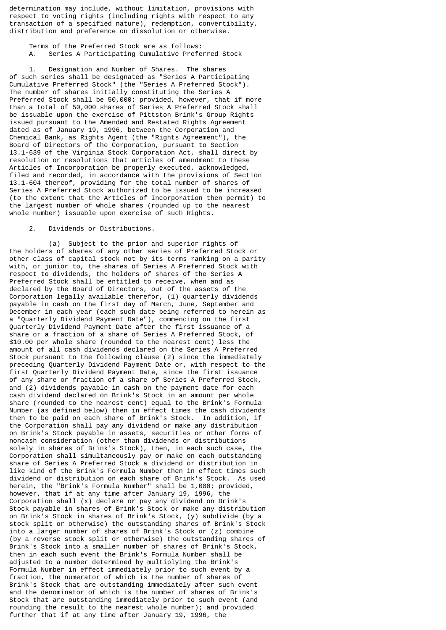determination may include, without limitation, provisions with respect to voting rights (including rights with respect to any transaction of a specified nature), redemption, convertibility, distribution and preference on dissolution or otherwise.

 Terms of the Preferred Stock are as follows: A. Series A Participating Cumulative Preferred Stock

Designation and Number of Shares. The shares of such series shall be designated as "Series A Participating Cumulative Preferred Stock" (the "Series A Preferred Stock"). The number of shares initially constituting the Series A Preferred Stock shall be 50,000; provided, however, that if more than a total of 50,000 shares of Series A Preferred Stock shall be issuable upon the exercise of Pittston Brink's Group Rights issued pursuant to the Amended and Restated Rights Agreement dated as of January 19, 1996, between the Corporation and Chemical Bank, as Rights Agent (the "Rights Agreement"), the Board of Directors of the Corporation, pursuant to Section 13.1-639 of the Virginia Stock Corporation Act, shall direct by resolution or resolutions that articles of amendment to these Articles of Incorporation be properly executed, acknowledged, filed and recorded, in accordance with the provisions of Section 13.1-604 thereof, providing for the total number of shares of Series A Preferred Stock authorized to be issued to be increased (to the extent that the Articles of Incorporation then permit) to the largest number of whole shares (rounded up to the nearest whole number) issuable upon exercise of such Rights.

2. Dividends or Distributions.

 (a) Subject to the prior and superior rights of the holders of shares of any other series of Preferred Stock or other class of capital stock not by its terms ranking on a parity with, or junior to, the shares of Series A Preferred Stock with respect to dividends, the holders of shares of the Series A Preferred Stock shall be entitled to receive, when and as declared by the Board of Directors, out of the assets of the Corporation legally available therefor, (1) quarterly dividends payable in cash on the first day of March, June, September and December in each year (each such date being referred to herein as a "Quarterly Dividend Payment Date"), commencing on the first Quarterly Dividend Payment Date after the first issuance of a share or a fraction of a share of Series A Preferred Stock, of \$10.00 per whole share (rounded to the nearest cent) less the amount of all cash dividends declared on the Series A Preferred Stock pursuant to the following clause (2) since the immediately preceding Quarterly Dividend Payment Date or, with respect to the first Quarterly Dividend Payment Date, since the first issuance of any share or fraction of a share of Series A Preferred Stock, and (2) dividends payable in cash on the payment date for each cash dividend declared on Brink's Stock in an amount per whole share (rounded to the nearest cent) equal to the Brink's Formula Number (as defined below) then in effect times the cash dividends then to be paid on each share of Brink's Stock. In addition, if the Corporation shall pay any dividend or make any distribution on Brink's Stock payable in assets, securities or other forms of noncash consideration (other than dividends or distributions solely in shares of Brink's Stock), then, in each such case, the Corporation shall simultaneously pay or make on each outstanding share of Series A Preferred Stock a dividend or distribution in like kind of the Brink's Formula Number then in effect times such dividend or distribution on each share of Brink's Stock. As used herein, the "Brink's Formula Number" shall be 1,000; provided, however, that if at any time after January 19, 1996, the Corporation shall (x) declare or pay any dividend on Brink's Stock payable in shares of Brink's Stock or make any distribution on Brink's Stock in shares of Brink's Stock, (y) subdivide (by a stock split or otherwise) the outstanding shares of Brink's Stock into a larger number of shares of Brink's Stock or (z) combine (by a reverse stock split or otherwise) the outstanding shares of Brink's Stock into a smaller number of shares of Brink's Stock, then in each such event the Brink's Formula Number shall be adjusted to a number determined by multiplying the Brink's Formula Number in effect immediately prior to such event by a fraction, the numerator of which is the number of shares of Brink's Stock that are outstanding immediately after such event and the denominator of which is the number of shares of Brink's Stock that are outstanding immediately prior to such event (and rounding the result to the nearest whole number); and provided further that if at any time after January 19, 1996, the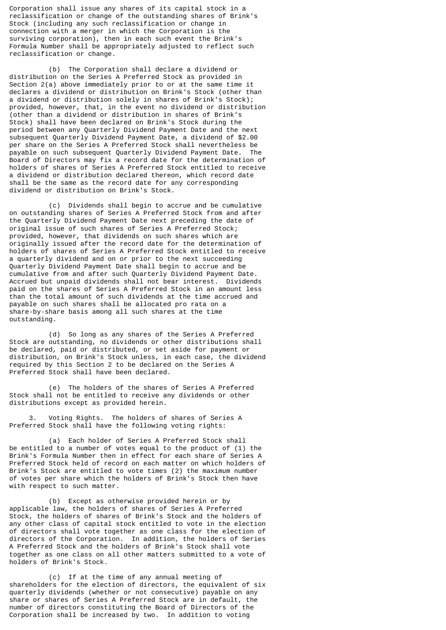Corporation shall issue any shares of its capital stock in a reclassification or change of the outstanding shares of Brink's Stock (including any such reclassification or change in connection with a merger in which the Corporation is the surviving corporation), then in each such event the Brink's Formula Number shall be appropriately adjusted to reflect such reclassification or change.

 (b) The Corporation shall declare a dividend or distribution on the Series A Preferred Stock as provided in Section 2(a) above immediately prior to or at the same time it declares a dividend or distribution on Brink's Stock (other than a dividend or distribution solely in shares of Brink's Stock); provided, however, that, in the event no dividend or distribution (other than a dividend or distribution in shares of Brink's Stock) shall have been declared on Brink's Stock during the period between any Quarterly Dividend Payment Date and the next subsequent Quarterly Dividend Payment Date, a dividend of \$2.00 per share on the Series A Preferred Stock shall nevertheless be payable on such subsequent Quarterly Dividend Payment Date. The Board of Directors may fix a record date for the determination of holders of shares of Series A Preferred Stock entitled to receive a dividend or distribution declared thereon, which record date shall be the same as the record date for any corresponding dividend or distribution on Brink's Stock.

 (c) Dividends shall begin to accrue and be cumulative on outstanding shares of Series A Preferred Stock from and after the Quarterly Dividend Payment Date next preceding the date of original issue of such shares of Series A Preferred Stock; provided, however, that dividends on such shares which are originally issued after the record date for the determination of holders of shares of Series A Preferred Stock entitled to receive a quarterly dividend and on or prior to the next succeeding Quarterly Dividend Payment Date shall begin to accrue and be cumulative from and after such Quarterly Dividend Payment Date. Accrued but unpaid dividends shall not bear interest. Dividends paid on the shares of Series A Preferred Stock in an amount less than the total amount of such dividends at the time accrued and payable on such shares shall be allocated pro rata on a share-by-share basis among all such shares at the time outstanding.

 (d) So long as any shares of the Series A Preferred Stock are outstanding, no dividends or other distributions shall be declared, paid or distributed, or set aside for payment or distribution, on Brink's Stock unless, in each case, the dividend required by this Section 2 to be declared on the Series A Preferred Stock shall have been declared.

 (e) The holders of the shares of Series A Preferred Stock shall not be entitled to receive any dividends or other distributions except as provided herein.

 3. Voting Rights. The holders of shares of Series A Preferred Stock shall have the following voting rights:

 (a) Each holder of Series A Preferred Stock shall be entitled to a number of votes equal to the product of (1) the Brink's Formula Number then in effect for each share of Series A Preferred Stock held of record on each matter on which holders of Brink's Stock are entitled to vote times (2) the maximum number of votes per share which the holders of Brink's Stock then have with respect to such matter.

 (b) Except as otherwise provided herein or by applicable law, the holders of shares of Series A Preferred Stock, the holders of shares of Brink's Stock and the holders of any other class of capital stock entitled to vote in the election of directors shall vote together as one class for the election of directors of the Corporation. In addition, the holders of Series A Preferred Stock and the holders of Brink's Stock shall vote together as one class on all other matters submitted to a vote of holders of Brink's Stock.

 (c) If at the time of any annual meeting of shareholders for the election of directors, the equivalent of six quarterly dividends (whether or not consecutive) payable on any share or shares of Series A Preferred Stock are in default, the number of directors constituting the Board of Directors of the Corporation shall be increased by two. In addition to voting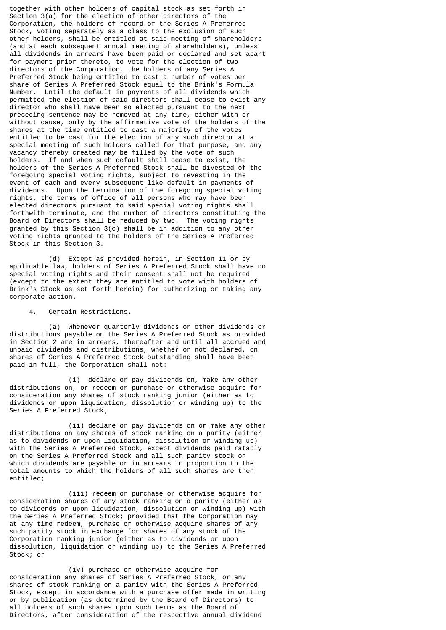together with other holders of capital stock as set forth in Section 3(a) for the election of other directors of the Corporation, the holders of record of the Series A Preferred Stock, voting separately as a class to the exclusion of such other holders, shall be entitled at said meeting of shareholders (and at each subsequent annual meeting of shareholders), unless all dividends in arrears have been paid or declared and set apart for payment prior thereto, to vote for the election of two directors of the Corporation, the holders of any Series A Preferred Stock being entitled to cast a number of votes per share of Series A Preferred Stock equal to the Brink's Formula Number. Until the default in payments of all dividends which permitted the election of said directors shall cease to exist any director who shall have been so elected pursuant to the next preceding sentence may be removed at any time, either with or without cause, only by the affirmative vote of the holders of the shares at the time entitled to cast a majority of the votes entitled to be cast for the election of any such director at a special meeting of such holders called for that purpose, and any vacancy thereby created may be filled by the vote of such holders. If and when such default shall cease to exist, the holders of the Series A Preferred Stock shall be divested of the foregoing special voting rights, subject to revesting in the event of each and every subsequent like default in payments of dividends. Upon the termination of the foregoing special voting rights, the terms of office of all persons who may have been elected directors pursuant to said special voting rights shall forthwith terminate, and the number of directors constituting the Board of Directors shall be reduced by two. The voting rights granted by this Section 3(c) shall be in addition to any other voting rights granted to the holders of the Series A Preferred Stock in this Section 3.

 (d) Except as provided herein, in Section 11 or by applicable law, holders of Series A Preferred Stock shall have no special voting rights and their consent shall not be required (except to the extent they are entitled to vote with holders of Brink's Stock as set forth herein) for authorizing or taking any corporate action.

#### 4. Certain Restrictions.

 (a) Whenever quarterly dividends or other dividends or distributions payable on the Series A Preferred Stock as provided in Section 2 are in arrears, thereafter and until all accrued and unpaid dividends and distributions, whether or not declared, on shares of Series A Preferred Stock outstanding shall have been paid in full, the Corporation shall not:

 (i) declare or pay dividends on, make any other distributions on, or redeem or purchase or otherwise acquire for consideration any shares of stock ranking junior (either as to dividends or upon liquidation, dissolution or winding up) to the Series A Preferred Stock;

 (ii) declare or pay dividends on or make any other distributions on any shares of stock ranking on a parity (either as to dividends or upon liquidation, dissolution or winding up) with the Series A Preferred Stock, except dividends paid ratably on the Series A Preferred Stock and all such parity stock on which dividends are payable or in arrears in proportion to the total amounts to which the holders of all such shares are then entitled;

 (iii) redeem or purchase or otherwise acquire for consideration shares of any stock ranking on a parity (either as to dividends or upon liquidation, dissolution or winding up) with the Series A Preferred Stock; provided that the Corporation may at any time redeem, purchase or otherwise acquire shares of any such parity stock in exchange for shares of any stock of the Corporation ranking junior (either as to dividends or upon dissolution, liquidation or winding up) to the Series A Preferred Stock; or

 (iv) purchase or otherwise acquire for consideration any shares of Series A Preferred Stock, or any shares of stock ranking on a parity with the Series A Preferred Stock, except in accordance with a purchase offer made in writing or by publication (as determined by the Board of Directors) to all holders of such shares upon such terms as the Board of Directors, after consideration of the respective annual dividend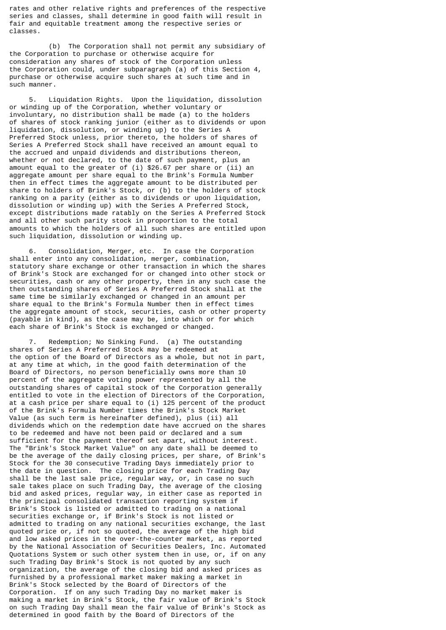rates and other relative rights and preferences of the respective series and classes, shall determine in good faith will result in fair and equitable treatment among the respective series or classes.

 (b) The Corporation shall not permit any subsidiary of the Corporation to purchase or otherwise acquire for consideration any shares of stock of the Corporation unless the Corporation could, under subparagraph (a) of this Section 4, purchase or otherwise acquire such shares at such time and in such manner.

 5. Liquidation Rights. Upon the liquidation, dissolution or winding up of the Corporation, whether voluntary or involuntary, no distribution shall be made (a) to the holders of shares of stock ranking junior (either as to dividends or upon liquidation, dissolution, or winding up) to the Series A Preferred Stock unless, prior thereto, the holders of shares of Series A Preferred Stock shall have received an amount equal to the accrued and unpaid dividends and distributions thereon, whether or not declared, to the date of such payment, plus an amount equal to the greater of (i) \$26.67 per share or (ii) an aggregate amount per share equal to the Brink's Formula Number then in effect times the aggregate amount to be distributed per share to holders of Brink's Stock, or (b) to the holders of stock ranking on a parity (either as to dividends or upon liquidation, dissolution or winding up) with the Series A Preferred Stock, except distributions made ratably on the Series A Preferred Stock and all other such parity stock in proportion to the total amounts to which the holders of all such shares are entitled upon such liquidation, dissolution or winding up.

Consolidation, Merger, etc. In case the Corporation shall enter into any consolidation, merger, combination, statutory share exchange or other transaction in which the shares of Brink's Stock are exchanged for or changed into other stock or securities, cash or any other property, then in any such case the then outstanding shares of Series A Preferred Stock shall at the same time be similarly exchanged or changed in an amount per share equal to the Brink's Formula Number then in effect times the aggregate amount of stock, securities, cash or other property (payable in kind), as the case may be, into which or for which each share of Brink's Stock is exchanged or changed.

 7. Redemption; No Sinking Fund. (a) The outstanding shares of Series A Preferred Stock may be redeemed at the option of the Board of Directors as a whole, but not in part, at any time at which, in the good faith determination of the Board of Directors, no person beneficially owns more than 10 percent of the aggregate voting power represented by all the outstanding shares of capital stock of the Corporation generally entitled to vote in the election of Directors of the Corporation, at a cash price per share equal to (i) 125 percent of the product of the Brink's Formula Number times the Brink's Stock Market Value (as such term is hereinafter defined), plus (ii) all dividends which on the redemption date have accrued on the shares to be redeemed and have not been paid or declared and a sum sufficient for the payment thereof set apart, without interest. The "Brink's Stock Market Value" on any date shall be deemed to be the average of the daily closing prices, per share, of Brink's Stock for the 30 consecutive Trading Days immediately prior to the date in question. The closing price for each Trading Day shall be the last sale price, regular way, or, in case no such sale takes place on such Trading Day, the average of the closing bid and asked prices, regular way, in either case as reported in the principal consolidated transaction reporting system if Brink's Stock is listed or admitted to trading on a national securities exchange or, if Brink's Stock is not listed or admitted to trading on any national securities exchange, the last quoted price or, if not so quoted, the average of the high bid and low asked prices in the over-the-counter market, as reported by the National Association of Securities Dealers, Inc. Automated Quotations System or such other system then in use, or, if on any such Trading Day Brink's Stock is not quoted by any such organization, the average of the closing bid and asked prices as furnished by a professional market maker making a market in Brink's Stock selected by the Board of Directors of the Corporation. If on any such Trading Day no market maker is making a market in Brink's Stock, the fair value of Brink's Stock on such Trading Day shall mean the fair value of Brink's Stock as determined in good faith by the Board of Directors of the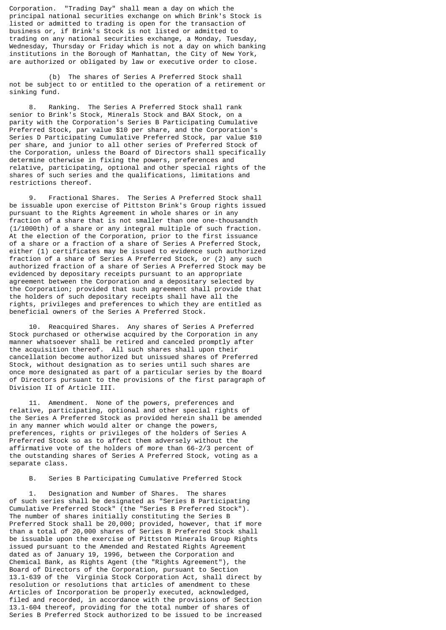Corporation. "Trading Day" shall mean a day on which the principal national securities exchange on which Brink's Stock is listed or admitted to trading is open for the transaction of business or, if Brink's Stock is not listed or admitted to trading on any national securities exchange, a Monday, Tuesday, Wednesday, Thursday or Friday which is not a day on which banking institutions in the Borough of Manhattan, the City of New York, are authorized or obligated by law or executive order to close.

 (b) The shares of Series A Preferred Stock shall not be subject to or entitled to the operation of a retirement or sinking fund.

 8. Ranking. The Series A Preferred Stock shall rank senior to Brink's Stock, Minerals Stock and BAX Stock, on a parity with the Corporation's Series B Participating Cumulative Preferred Stock, par value \$10 per share, and the Corporation's Series D Participating Cumulative Preferred Stock, par value \$10 per share, and junior to all other series of Preferred Stock of the Corporation, unless the Board of Directors shall specifically determine otherwise in fixing the powers, preferences and relative, participating, optional and other special rights of the shares of such series and the qualifications, limitations and restrictions thereof.

 9. Fractional Shares. The Series A Preferred Stock shall be issuable upon exercise of Pittston Brink's Group rights issued pursuant to the Rights Agreement in whole shares or in any fraction of a share that is not smaller than one one-thousandth (1/1000th) of a share or any integral multiple of such fraction. At the election of the Corporation, prior to the first issuance of a share or a fraction of a share of Series A Preferred Stock, either (1) certificates may be issued to evidence such authorized fraction of a share of Series A Preferred Stock, or (2) any such authorized fraction of a share of Series A Preferred Stock may be evidenced by depositary receipts pursuant to an appropriate agreement between the Corporation and a depositary selected by the Corporation; provided that such agreement shall provide that the holders of such depositary receipts shall have all the rights, privileges and preferences to which they are entitled as beneficial owners of the Series A Preferred Stock.

 10. Reacquired Shares. Any shares of Series A Preferred Stock purchased or otherwise acquired by the Corporation in any manner whatsoever shall be retired and canceled promptly after the acquisition thereof. All such shares shall upon their cancellation become authorized but unissued shares of Preferred Stock, without designation as to series until such shares are once more designated as part of a particular series by the Board of Directors pursuant to the provisions of the first paragraph of Division II of Article III.

 11. Amendment. None of the powers, preferences and relative, participating, optional and other special rights of the Series A Preferred Stock as provided herein shall be amended in any manner which would alter or change the powers, preferences, rights or privileges of the holders of Series A Preferred Stock so as to affect them adversely without the affirmative vote of the holders of more than 66-2/3 percent of the outstanding shares of Series A Preferred Stock, voting as a separate class.

B. Series B Participating Cumulative Preferred Stock

 1. Designation and Number of Shares. The shares of such series shall be designated as "Series B Participating Cumulative Preferred Stock" (the "Series B Preferred Stock"). The number of shares initially constituting the Series B Preferred Stock shall be 20,000; provided, however, that if more than a total of 20,000 shares of Series B Preferred Stock shall be issuable upon the exercise of Pittston Minerals Group Rights issued pursuant to the Amended and Restated Rights Agreement dated as of January 19, 1996, between the Corporation and Chemical Bank, as Rights Agent (the "Rights Agreement"), the Board of Directors of the Corporation, pursuant to Section 13.1-639 of the Virginia Stock Corporation Act, shall direct by resolution or resolutions that articles of amendment to these Articles of Incorporation be properly executed, acknowledged, filed and recorded, in accordance with the provisions of Section 13.1-604 thereof, providing for the total number of shares of Series B Preferred Stock authorized to be issued to be increased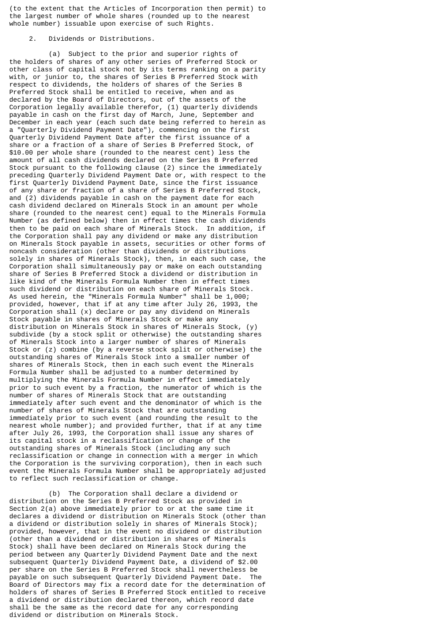(to the extent that the Articles of Incorporation then permit) to the largest number of whole shares (rounded up to the nearest whole number) issuable upon exercise of such Rights.

# 2. Dividends or Distributions.

 (a) Subject to the prior and superior rights of the holders of shares of any other series of Preferred Stock or other class of capital stock not by its terms ranking on a parity with, or junior to, the shares of Series B Preferred Stock with respect to dividends, the holders of shares of the Series B Preferred Stock shall be entitled to receive, when and as declared by the Board of Directors, out of the assets of the Corporation legally available therefor, (1) quarterly dividends payable in cash on the first day of March, June, September and December in each year (each such date being referred to herein as a "Quarterly Dividend Payment Date"), commencing on the first Quarterly Dividend Payment Date after the first issuance of a share or a fraction of a share of Series B Preferred Stock, of \$10.00 per whole share (rounded to the nearest cent) less the amount of all cash dividends declared on the Series B Preferred Stock pursuant to the following clause (2) since the immediately preceding Quarterly Dividend Payment Date or, with respect to the first Quarterly Dividend Payment Date, since the first issuance of any share or fraction of a share of Series B Preferred Stock, and (2) dividends payable in cash on the payment date for each cash dividend declared on Minerals Stock in an amount per whole share (rounded to the nearest cent) equal to the Minerals Formula Number (as defined below) then in effect times the cash dividends then to be paid on each share of Minerals Stock. In addition, if the Corporation shall pay any dividend or make any distribution on Minerals Stock payable in assets, securities or other forms of noncash consideration (other than dividends or distributions solely in shares of Minerals Stock), then, in each such case, the Corporation shall simultaneously pay or make on each outstanding share of Series B Preferred Stock a dividend or distribution in like kind of the Minerals Formula Number then in effect times such dividend or distribution on each share of Minerals Stock. As used herein, the "Minerals Formula Number" shall be 1,000; provided, however, that if at any time after July 26, 1993, the Corporation shall (x) declare or pay any dividend on Minerals Stock payable in shares of Minerals Stock or make any distribution on Minerals Stock in shares of Minerals Stock, (y) subdivide (by a stock split or otherwise) the outstanding shares of Minerals Stock into a larger number of shares of Minerals Stock or (z) combine (by a reverse stock split or otherwise) the outstanding shares of Minerals Stock into a smaller number of shares of Minerals Stock, then in each such event the Minerals Formula Number shall be adjusted to a number determined by multiplying the Minerals Formula Number in effect immediately prior to such event by a fraction, the numerator of which is the number of shares of Minerals Stock that are outstanding immediately after such event and the denominator of which is the number of shares of Minerals Stock that are outstanding immediately prior to such event (and rounding the result to the nearest whole number); and provided further, that if at any time after July 26, 1993, the Corporation shall issue any shares of its capital stock in a reclassification or change of the outstanding shares of Minerals Stock (including any such reclassification or change in connection with a merger in which the Corporation is the surviving corporation), then in each such event the Minerals Formula Number shall be appropriately adjusted to reflect such reclassification or change.

 (b) The Corporation shall declare a dividend or distribution on the Series B Preferred Stock as provided in Section 2(a) above immediately prior to or at the same time it declares a dividend or distribution on Minerals Stock (other than a dividend or distribution solely in shares of Minerals Stock); provided, however, that in the event no dividend or distribution (other than a dividend or distribution in shares of Minerals Stock) shall have been declared on Minerals Stock during the period between any Quarterly Dividend Payment Date and the next subsequent Quarterly Dividend Payment Date, a dividend of \$2.00 per share on the Series B Preferred Stock shall nevertheless be payable on such subsequent Quarterly Dividend Payment Date. The Board of Directors may fix a record date for the determination of holders of shares of Series B Preferred Stock entitled to receive a dividend or distribution declared thereon, which record date shall be the same as the record date for any corresponding dividend or distribution on Minerals Stock.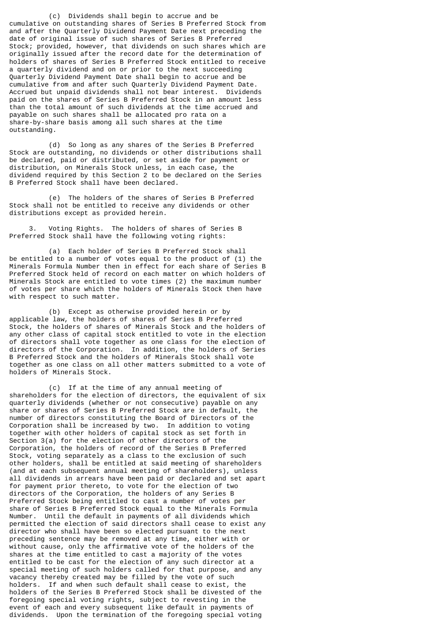(c) Dividends shall begin to accrue and be cumulative on outstanding shares of Series B Preferred Stock from and after the Quarterly Dividend Payment Date next preceding the date of original issue of such shares of Series B Preferred Stock; provided, however, that dividends on such shares which are originally issued after the record date for the determination of holders of shares of Series B Preferred Stock entitled to receive a quarterly dividend and on or prior to the next succeeding Quarterly Dividend Payment Date shall begin to accrue and be cumulative from and after such Quarterly Dividend Payment Date. Accrued but unpaid dividends shall not bear interest. Dividends paid on the shares of Series B Preferred Stock in an amount less than the total amount of such dividends at the time accrued and payable on such shares shall be allocated pro rata on a share-by-share basis among all such shares at the time outstanding.

 (d) So long as any shares of the Series B Preferred Stock are outstanding, no dividends or other distributions shall be declared, paid or distributed, or set aside for payment or distribution, on Minerals Stock unless, in each case, the dividend required by this Section 2 to be declared on the Series B Preferred Stock shall have been declared.

 (e) The holders of the shares of Series B Preferred Stock shall not be entitled to receive any dividends or other distributions except as provided herein.

 3. Voting Rights. The holders of shares of Series B Preferred Stock shall have the following voting rights:

 (a) Each holder of Series B Preferred Stock shall be entitled to a number of votes equal to the product of (1) the Minerals Formula Number then in effect for each share of Series B Preferred Stock held of record on each matter on which holders of Minerals Stock are entitled to vote times (2) the maximum number of votes per share which the holders of Minerals Stock then have with respect to such matter.

 (b) Except as otherwise provided herein or by applicable law, the holders of shares of Series B Preferred Stock, the holders of shares of Minerals Stock and the holders of any other class of capital stock entitled to vote in the election of directors shall vote together as one class for the election of directors of the Corporation. In addition, the holders of Series B Preferred Stock and the holders of Minerals Stock shall vote together as one class on all other matters submitted to a vote of holders of Minerals Stock.

 (c) If at the time of any annual meeting of shareholders for the election of directors, the equivalent of six quarterly dividends (whether or not consecutive) payable on any share or shares of Series B Preferred Stock are in default, the number of directors constituting the Board of Directors of the Corporation shall be increased by two. In addition to voting together with other holders of capital stock as set forth in Section 3(a) for the election of other directors of the Corporation, the holders of record of the Series B Preferred Stock, voting separately as a class to the exclusion of such other holders, shall be entitled at said meeting of shareholders (and at each subsequent annual meeting of shareholders), unless all dividends in arrears have been paid or declared and set apart for payment prior thereto, to vote for the election of two directors of the Corporation, the holders of any Series B Preferred Stock being entitled to cast a number of votes per share of Series B Preferred Stock equal to the Minerals Formula Number. Until the default in payments of all dividends which permitted the election of said directors shall cease to exist any director who shall have been so elected pursuant to the next preceding sentence may be removed at any time, either with or without cause, only the affirmative vote of the holders of the shares at the time entitled to cast a majority of the votes entitled to be cast for the election of any such director at a special meeting of such holders called for that purpose, and any vacancy thereby created may be filled by the vote of such holders. If and when such default shall cease to exist, the holders of the Series B Preferred Stock shall be divested of the foregoing special voting rights, subject to revesting in the event of each and every subsequent like default in payments of dividends. Upon the termination of the foregoing special voting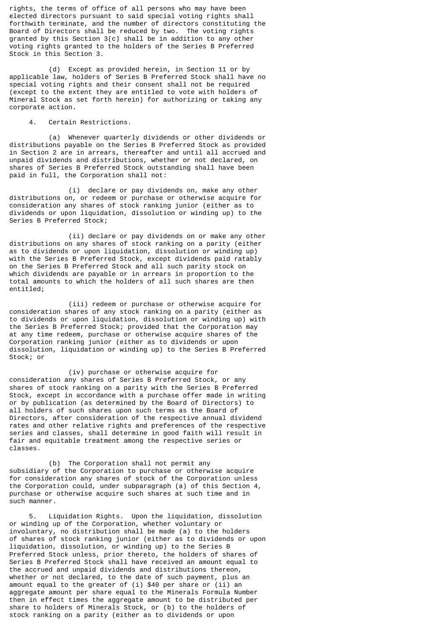rights, the terms of office of all persons who may have been elected directors pursuant to said special voting rights shall forthwith terminate, and the number of directors constituting the Board of Directors shall be reduced by two. The voting rights granted by this Section 3(c) shall be in addition to any other voting rights granted to the holders of the Series B Preferred Stock in this Section 3.

 (d) Except as provided herein, in Section 11 or by applicable law, holders of Series B Preferred Stock shall have no special voting rights and their consent shall not be required (except to the extent they are entitled to vote with holders of Mineral Stock as set forth herein) for authorizing or taking any corporate action.

4. Certain Restrictions.

 (a) Whenever quarterly dividends or other dividends or distributions payable on the Series B Preferred Stock as provided in Section 2 are in arrears, thereafter and until all accrued and unpaid dividends and distributions, whether or not declared, on shares of Series B Preferred Stock outstanding shall have been paid in full, the Corporation shall not:

 (i) declare or pay dividends on, make any other distributions on, or redeem or purchase or otherwise acquire for consideration any shares of stock ranking junior (either as to dividends or upon liquidation, dissolution or winding up) to the Series B Preferred Stock;

 (ii) declare or pay dividends on or make any other distributions on any shares of stock ranking on a parity (either as to dividends or upon liquidation, dissolution or winding up) with the Series B Preferred Stock, except dividends paid ratably on the Series B Preferred Stock and all such parity stock on which dividends are payable or in arrears in proportion to the total amounts to which the holders of all such shares are then entitled;

 (iii) redeem or purchase or otherwise acquire for consideration shares of any stock ranking on a parity (either as to dividends or upon liquidation, dissolution or winding up) with the Series B Preferred Stock; provided that the Corporation may at any time redeem, purchase or otherwise acquire shares of the Corporation ranking junior (either as to dividends or upon dissolution, liquidation or winding up) to the Series B Preferred Stock; or

 (iv) purchase or otherwise acquire for consideration any shares of Series B Preferred Stock, or any shares of stock ranking on a parity with the Series B Preferred Stock, except in accordance with a purchase offer made in writing or by publication (as determined by the Board of Directors) to all holders of such shares upon such terms as the Board of Directors, after consideration of the respective annual dividend rates and other relative rights and preferences of the respective series and classes, shall determine in good faith will result in fair and equitable treatment among the respective series or classes.

 (b) The Corporation shall not permit any subsidiary of the Corporation to purchase or otherwise acquire for consideration any shares of stock of the Corporation unless the Corporation could, under subparagraph (a) of this Section 4, purchase or otherwise acquire such shares at such time and in such manner.

 5. Liquidation Rights. Upon the liquidation, dissolution or winding up of the Corporation, whether voluntary or involuntary, no distribution shall be made (a) to the holders of shares of stock ranking junior (either as to dividends or upon liquidation, dissolution, or winding up) to the Series B Preferred Stock unless, prior thereto, the holders of shares of Series B Preferred Stock shall have received an amount equal to the accrued and unpaid dividends and distributions thereon, whether or not declared, to the date of such payment, plus an amount equal to the greater of (i) \$40 per share or (ii) an aggregate amount per share equal to the Minerals Formula Number then in effect times the aggregate amount to be distributed per share to holders of Minerals Stock, or (b) to the holders of stock ranking on a parity (either as to dividends or upon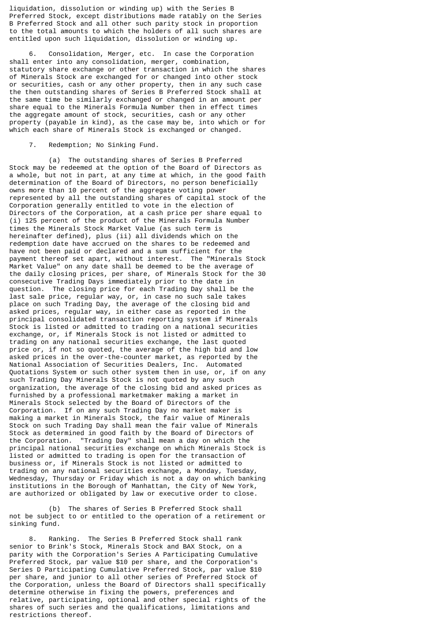liquidation, dissolution or winding up) with the Series B Preferred Stock, except distributions made ratably on the Series B Preferred Stock and all other such parity stock in proportion to the total amounts to which the holders of all such shares are entitled upon such liquidation, dissolution or winding up.

 6. Consolidation, Merger, etc. In case the Corporation shall enter into any consolidation, merger, combination, statutory share exchange or other transaction in which the shares of Minerals Stock are exchanged for or changed into other stock or securities, cash or any other property, then in any such case the then outstanding shares of Series B Preferred Stock shall at the same time be similarly exchanged or changed in an amount per share equal to the Minerals Formula Number then in effect times the aggregate amount of stock, securities, cash or any other property (payable in kind), as the case may be, into which or for which each share of Minerals Stock is exchanged or changed.

# 7. Redemption; No Sinking Fund.

 (a) The outstanding shares of Series B Preferred Stock may be redeemed at the option of the Board of Directors as a whole, but not in part, at any time at which, in the good faith determination of the Board of Directors, no person beneficially owns more than 10 percent of the aggregate voting power represented by all the outstanding shares of capital stock of the Corporation generally entitled to vote in the election of Directors of the Corporation, at a cash price per share equal to (i) 125 percent of the product of the Minerals Formula Number times the Minerals Stock Market Value (as such term is hereinafter defined), plus (ii) all dividends which on the redemption date have accrued on the shares to be redeemed and have not been paid or declared and a sum sufficient for the payment thereof set apart, without interest. The "Minerals Stock Market Value" on any date shall be deemed to be the average of the daily closing prices, per share, of Minerals Stock for the 30 consecutive Trading Days immediately prior to the date in question. The closing price for each Trading Day shall be the last sale price, regular way, or, in case no such sale takes place on such Trading Day, the average of the closing bid and asked prices, regular way, in either case as reported in the principal consolidated transaction reporting system if Minerals Stock is listed or admitted to trading on a national securities exchange, or, if Minerals Stock is not listed or admitted to trading on any national securities exchange, the last quoted price or, if not so quoted, the average of the high bid and low asked prices in the over-the-counter market, as reported by the National Association of Securities Dealers, Inc. Automated Quotations System or such other system then in use, or, if on any such Trading Day Minerals Stock is not quoted by any such organization, the average of the closing bid and asked prices as furnished by a professional marketmaker making a market in Minerals Stock selected by the Board of Directors of the Corporation. If on any such Trading Day no market maker is making a market in Minerals Stock, the fair value of Minerals Stock on such Trading Day shall mean the fair value of Minerals Stock as determined in good faith by the Board of Directors of the Corporation. "Trading Day" shall mean a day on which the principal national securities exchange on which Minerals Stock is listed or admitted to trading is open for the transaction of business or, if Minerals Stock is not listed or admitted to trading on any national securities exchange, a Monday, Tuesday, Wednesday, Thursday or Friday which is not a day on which banking institutions in the Borough of Manhattan, the City of New York, are authorized or obligated by law or executive order to close.

 (b) The shares of Series B Preferred Stock shall not be subject to or entitled to the operation of a retirement or sinking fund.

 8. Ranking. The Series B Preferred Stock shall rank senior to Brink's Stock, Minerals Stock and BAX Stock, on a parity with the Corporation's Series A Participating Cumulative Preferred Stock, par value \$10 per share, and the Corporation's Series D Participating Cumulative Preferred Stock, par value \$10 per share, and junior to all other series of Preferred Stock of the Corporation, unless the Board of Directors shall specifically determine otherwise in fixing the powers, preferences and relative, participating, optional and other special rights of the shares of such series and the qualifications, limitations and restrictions thereof.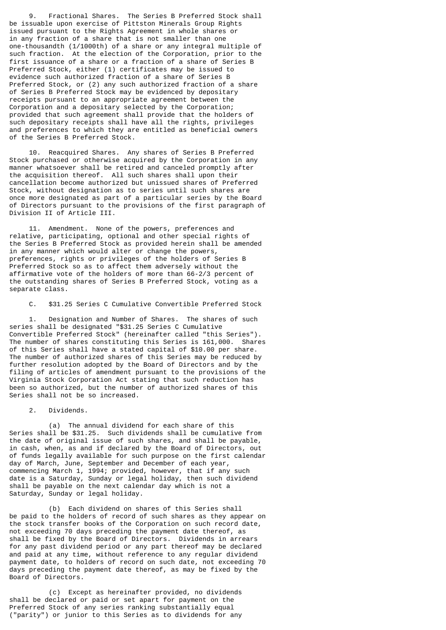9. Fractional Shares. The Series B Preferred Stock shall be issuable upon exercise of Pittston Minerals Group Rights issued pursuant to the Rights Agreement in whole shares or in any fraction of a share that is not smaller than one one-thousandth (1/1000th) of a share or any integral multiple of such fraction. At the election of the Corporation, prior to the first issuance of a share or a fraction of a share of Series B Preferred Stock, either (1) certificates may be issued to evidence such authorized fraction of a share of Series B Preferred Stock, or (2) any such authorized fraction of a share of Series B Preferred Stock may be evidenced by depositary receipts pursuant to an appropriate agreement between the Corporation and a depositary selected by the Corporation; provided that such agreement shall provide that the holders of such depositary receipts shall have all the rights, privileges and preferences to which they are entitled as beneficial owners of the Series B Preferred Stock.

 10. Reacquired Shares. Any shares of Series B Preferred Stock purchased or otherwise acquired by the Corporation in any manner whatsoever shall be retired and canceled promptly after the acquisition thereof. All such shares shall upon their cancellation become authorized but unissued shares of Preferred Stock, without designation as to series until such shares are once more designated as part of a particular series by the Board of Directors pursuant to the provisions of the first paragraph of Division II of Article III.

 11. Amendment. None of the powers, preferences and relative, participating, optional and other special rights of the Series B Preferred Stock as provided herein shall be amended in any manner which would alter or change the powers, preferences, rights or privileges of the holders of Series B Preferred Stock so as to affect them adversely without the affirmative vote of the holders of more than 66-2/3 percent of the outstanding shares of Series B Preferred Stock, voting as a separate class.

C. \$31.25 Series C Cumulative Convertible Preferred Stock

 1. Designation and Number of Shares. The shares of such series shall be designated "\$31.25 Series C Cumulative Convertible Preferred Stock" (hereinafter called "this Series"). The number of shares constituting this Series is 161,000. Shares of this Series shall have a stated capital of \$10.00 per share. The number of authorized shares of this Series may be reduced by further resolution adopted by the Board of Directors and by the filing of articles of amendment pursuant to the provisions of the Virginia Stock Corporation Act stating that such reduction has been so authorized, but the number of authorized shares of this Series shall not be so increased.

2. Dividends.

 (a) The annual dividend for each share of this Series shall be \$31.25. Such dividends shall be cumulative from the date of original issue of such shares, and shall be payable, in cash, when, as and if declared by the Board of Directors, out of funds legally available for such purpose on the first calendar day of March, June, September and December of each year, commencing March 1, 1994; provided, however, that if any such date is a Saturday, Sunday or legal holiday, then such dividend shall be payable on the next calendar day which is not a Saturday, Sunday or legal holiday.

 (b) Each dividend on shares of this Series shall be paid to the holders of record of such shares as they appear on the stock transfer books of the Corporation on such record date, not exceeding 70 days preceding the payment date thereof, as shall be fixed by the Board of Directors. Dividends in arrears for any past dividend period or any part thereof may be declared and paid at any time, without reference to any regular dividend payment date, to holders of record on such date, not exceeding 70 days preceding the payment date thereof, as may be fixed by the Board of Directors.

 (c) Except as hereinafter provided, no dividends shall be declared or paid or set apart for payment on the Preferred Stock of any series ranking substantially equal ("parity") or junior to this Series as to dividends for any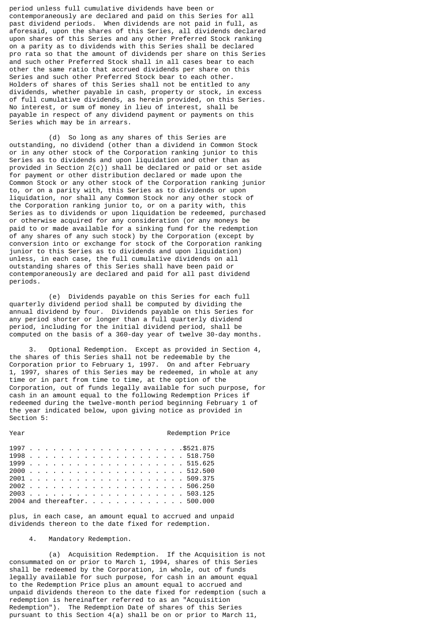period unless full cumulative dividends have been or contemporaneously are declared and paid on this Series for all past dividend periods. When dividends are not paid in full, as aforesaid, upon the shares of this Series, all dividends declared upon shares of this Series and any other Preferred Stock ranking on a parity as to dividends with this Series shall be declared pro rata so that the amount of dividends per share on this Series and such other Preferred Stock shall in all cases bear to each other the same ratio that accrued dividends per share on this Series and such other Preferred Stock bear to each other. Holders of shares of this Series shall not be entitled to any dividends, whether payable in cash, property or stock, in excess of full cumulative dividends, as herein provided, on this Series. No interest, or sum of money in lieu of interest, shall be payable in respect of any dividend payment or payments on this Series which may be in arrears.

 (d) So long as any shares of this Series are outstanding, no dividend (other than a dividend in Common Stock or in any other stock of the Corporation ranking junior to this Series as to dividends and upon liquidation and other than as provided in Section 2(c)) shall be declared or paid or set aside for payment or other distribution declared or made upon the Common Stock or any other stock of the Corporation ranking junior to, or on a parity with, this Series as to dividends or upon liquidation, nor shall any Common Stock nor any other stock of the Corporation ranking junior to, or on a parity with, this Series as to dividends or upon liquidation be redeemed, purchased or otherwise acquired for any consideration (or any moneys be paid to or made available for a sinking fund for the redemption of any shares of any such stock) by the Corporation (except by conversion into or exchange for stock of the Corporation ranking junior to this Series as to dividends and upon liquidation) unless, in each case, the full cumulative dividends on all outstanding shares of this Series shall have been paid or contemporaneously are declared and paid for all past dividend periods.

 (e) Dividends payable on this Series for each full quarterly dividend period shall be computed by dividing the annual dividend by four. Dividends payable on this Series for any period shorter or longer than a full quarterly dividend period, including for the initial dividend period, shall be computed on the basis of a 360-day year of twelve 30-day months.

 3. Optional Redemption. Except as provided in Section 4, the shares of this Series shall not be redeemable by the Corporation prior to February 1, 1997. On and after February 1, 1997, shares of this Series may be redeemed, in whole at any time or in part from time to time, at the option of the Corporation, out of funds legally available for such purpose, for cash in an amount equal to the following Redemption Prices if redeemed during the twelve-month period beginning February 1 of the year indicated below, upon giving notice as provided in Section 5:

1997 . . . . . . . . . . . . . . . . . . . .\$521.875 1998 . . . . . . . . . . . . . . . . . . . . 518.750 1999 . . . . . . . . . . . . . . . . . . . . 515.625 2000 . . . . . . . . . . . . . . . . . . . . 512.500 2001 . . . . . . . . . . . . . . . . . . . . 509.375 2002 . . . . . . . . . . . . . . . . . . . . 506.250 2003 . . . . . . . . . . . . . . . . . . . . 503.125 2004 and thereafter. . . . . . . . . . . . . 500.000

Year **Redemption Price** 

plus, in each case, an amount equal to accrued and unpaid dividends thereon to the date fixed for redemption.

4. Mandatory Redemption.

 (a) Acquisition Redemption. If the Acquisition is not consummated on or prior to March 1, 1994, shares of this Series shall be redeemed by the Corporation, in whole, out of funds legally available for such purpose, for cash in an amount equal to the Redemption Price plus an amount equal to accrued and unpaid dividends thereon to the date fixed for redemption (such a redemption is hereinafter referred to as an "Acquisition Redemption"). The Redemption Date of shares of this Series pursuant to this Section 4(a) shall be on or prior to March 11,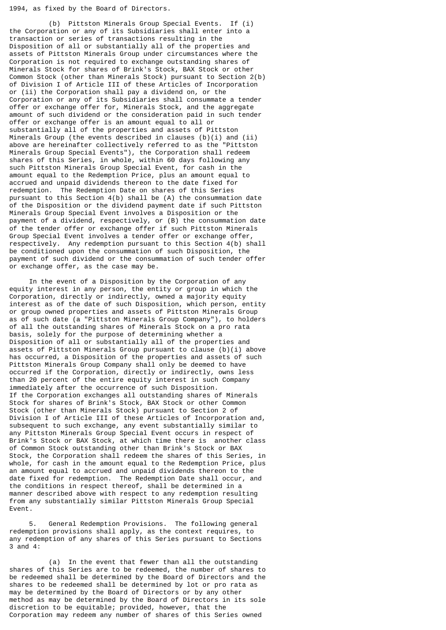1994, as fixed by the Board of Directors.

 (b) Pittston Minerals Group Special Events. If (i) the Corporation or any of its Subsidiaries shall enter into a transaction or series of transactions resulting in the Disposition of all or substantially all of the properties and assets of Pittston Minerals Group under circumstances where the Corporation is not required to exchange outstanding shares of Minerals Stock for shares of Brink's Stock, BAX Stock or other Common Stock (other than Minerals Stock) pursuant to Section 2(b) of Division I of Article III of these Articles of Incorporation or (ii) the Corporation shall pay a dividend on, or the Corporation or any of its Subsidiaries shall consummate a tender offer or exchange offer for, Minerals Stock, and the aggregate amount of such dividend or the consideration paid in such tender offer or exchange offer is an amount equal to all or substantially all of the properties and assets of Pittston Minerals Group (the events described in clauses (b)(i) and (ii) above are hereinafter collectively referred to as the "Pittston Minerals Group Special Events"), the Corporation shall redeem shares of this Series, in whole, within 60 days following any such Pittston Minerals Group Special Event, for cash in the amount equal to the Redemption Price, plus an amount equal to accrued and unpaid dividends thereon to the date fixed for redemption. The Redemption Date on shares of this Series pursuant to this Section 4(b) shall be (A) the consummation date of the Disposition or the dividend payment date if such Pittston Minerals Group Special Event involves a Disposition or the payment of a dividend, respectively, or (B) the consummation date of the tender offer or exchange offer if such Pittston Minerals Group Special Event involves a tender offer or exchange offer, respectively. Any redemption pursuant to this Section 4(b) shall be conditioned upon the consummation of such Disposition, the payment of such dividend or the consummation of such tender offer or exchange offer, as the case may be.

 In the event of a Disposition by the Corporation of any equity interest in any person, the entity or group in which the Corporation, directly or indirectly, owned a majority equity interest as of the date of such Disposition, which person, entity or group owned properties and assets of Pittston Minerals Group as of such date (a "Pittston Minerals Group Company"), to holders of all the outstanding shares of Minerals Stock on a pro rata basis, solely for the purpose of determining whether a Disposition of all or substantially all of the properties and assets of Pittston Minerals Group pursuant to clause (b)(i) above has occurred, a Disposition of the properties and assets of such Pittston Minerals Group Company shall only be deemed to have occurred if the Corporation, directly or indirectly, owns less than 20 percent of the entire equity interest in such Company immediately after the occurrence of such Disposition. If the Corporation exchanges all outstanding shares of Minerals Stock for shares of Brink's Stock, BAX Stock or other Common Stock (other than Minerals Stock) pursuant to Section 2 of Division I of Article III of these Articles of Incorporation and, subsequent to such exchange, any event substantially similar to any Pittston Minerals Group Special Event occurs in respect of Brink's Stock or BAX Stock, at which time there is another class of Common Stock outstanding other than Brink's Stock or BAX Stock, the Corporation shall redeem the shares of this Series, in whole, for cash in the amount equal to the Redemption Price, plus an amount equal to accrued and unpaid dividends thereon to the date fixed for redemption. The Redemption Date shall occur, and the conditions in respect thereof, shall be determined in a manner described above with respect to any redemption resulting from any substantially similar Pittston Minerals Group Special Event.

 5. General Redemption Provisions. The following general redemption provisions shall apply, as the context requires, to any redemption of any shares of this Series pursuant to Sections 3 and 4:

 (a) In the event that fewer than all the outstanding shares of this Series are to be redeemed, the number of shares to be redeemed shall be determined by the Board of Directors and the shares to be redeemed shall be determined by lot or pro rata as may be determined by the Board of Directors or by any other method as may be determined by the Board of Directors in its sole discretion to be equitable; provided, however, that the Corporation may redeem any number of shares of this Series owned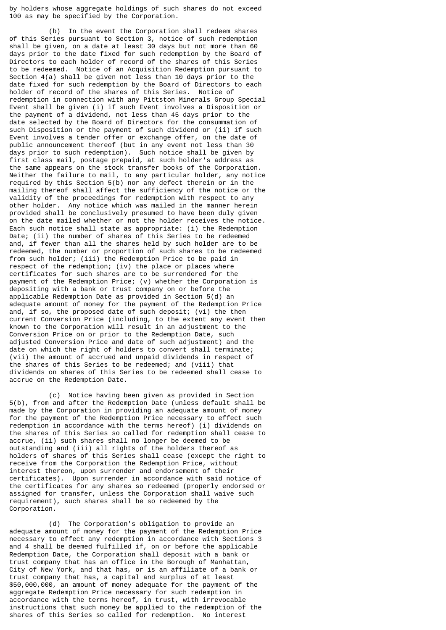by holders whose aggregate holdings of such shares do not exceed 100 as may be specified by the Corporation.

 (b) In the event the Corporation shall redeem shares of this Series pursuant to Section 3, notice of such redemption shall be given, on a date at least 30 days but not more than 60 days prior to the date fixed for such redemption by the Board of Directors to each holder of record of the shares of this Series to be redeemed. Notice of an Acquisition Redemption pursuant to Section 4(a) shall be given not less than 10 days prior to the date fixed for such redemption by the Board of Directors to each holder of record of the shares of this Series. Notice of redemption in connection with any Pittston Minerals Group Special Event shall be given (i) if such Event involves a Disposition or the payment of a dividend, not less than 45 days prior to the date selected by the Board of Directors for the consummation of such Disposition or the payment of such dividend or (ii) if such Event involves a tender offer or exchange offer, on the date of public announcement thereof (but in any event not less than 30 days prior to such redemption). Such notice shall be given by first class mail, postage prepaid, at such holder's address as the same appears on the stock transfer books of the Corporation. Neither the failure to mail, to any particular holder, any notice required by this Section 5(b) nor any defect therein or in the mailing thereof shall affect the sufficiency of the notice or the validity of the proceedings for redemption with respect to any other holder. Any notice which was mailed in the manner herein provided shall be conclusively presumed to have been duly given on the date mailed whether or not the holder receives the notice. Each such notice shall state as appropriate: (i) the Redemption Date; (ii) the number of shares of this Series to be redeemed and, if fewer than all the shares held by such holder are to be redeemed, the number or proportion of such shares to be redeemed from such holder; (iii) the Redemption Price to be paid in respect of the redemption; (iv) the place or places where certificates for such shares are to be surrendered for the payment of the Redemption Price; (v) whether the Corporation is depositing with a bank or trust company on or before the applicable Redemption Date as provided in Section 5(d) an adequate amount of money for the payment of the Redemption Price and, if so, the proposed date of such deposit; (vi) the then current Conversion Price (including, to the extent any event then known to the Corporation will result in an adjustment to the Conversion Price on or prior to the Redemption Date, such adjusted Conversion Price and date of such adjustment) and the date on which the right of holders to convert shall terminate; (vii) the amount of accrued and unpaid dividends in respect of the shares of this Series to be redeemed; and (viii) that dividends on shares of this Series to be redeemed shall cease to accrue on the Redemption Date.

 (c) Notice having been given as provided in Section 5(b), from and after the Redemption Date (unless default shall be made by the Corporation in providing an adequate amount of money for the payment of the Redemption Price necessary to effect such redemption in accordance with the terms hereof) (i) dividends on the shares of this Series so called for redemption shall cease to accrue, (ii) such shares shall no longer be deemed to be outstanding and (iii) all rights of the holders thereof as holders of shares of this Series shall cease (except the right to receive from the Corporation the Redemption Price, without interest thereon, upon surrender and endorsement of their certificates). Upon surrender in accordance with said notice of the certificates for any shares so redeemed (properly endorsed or assigned for transfer, unless the Corporation shall waive such requirement), such shares shall be so redeemed by the Corporation.

 (d) The Corporation's obligation to provide an adequate amount of money for the payment of the Redemption Price necessary to effect any redemption in accordance with Sections 3 and 4 shall be deemed fulfilled if, on or before the applicable Redemption Date, the Corporation shall deposit with a bank or trust company that has an office in the Borough of Manhattan, City of New York, and that has, or is an affiliate of a bank or trust company that has, a capital and surplus of at least \$50,000,000, an amount of money adequate for the payment of the aggregate Redemption Price necessary for such redemption in accordance with the terms hereof, in trust, with irrevocable instructions that such money be applied to the redemption of the shares of this Series so called for redemption. No interest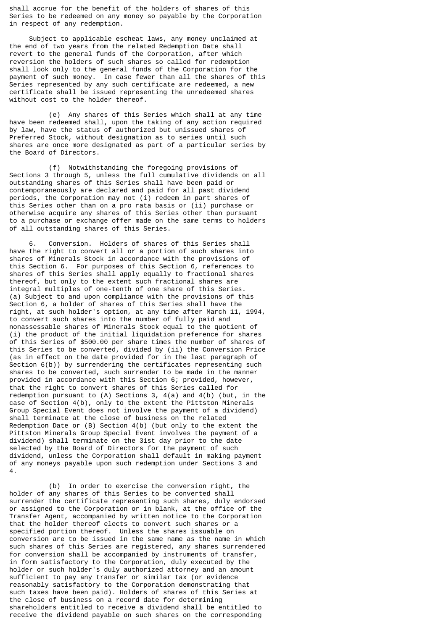shall accrue for the benefit of the holders of shares of this Series to be redeemed on any money so payable by the Corporation in respect of any redemption.

 Subject to applicable escheat laws, any money unclaimed at the end of two years from the related Redemption Date shall revert to the general funds of the Corporation, after which reversion the holders of such shares so called for redemption shall look only to the general funds of the Corporation for the payment of such money. In case fewer than all the shares of this Series represented by any such certificate are redeemed, a new certificate shall be issued representing the unredeemed shares without cost to the holder thereof.

 (e) Any shares of this Series which shall at any time have been redeemed shall, upon the taking of any action required by law, have the status of authorized but unissued shares of Preferred Stock, without designation as to series until such shares are once more designated as part of a particular series by the Board of Directors.

 (f) Notwithstanding the foregoing provisions of Sections 3 through 5, unless the full cumulative dividends on all outstanding shares of this Series shall have been paid or contemporaneously are declared and paid for all past dividend periods, the Corporation may not (i) redeem in part shares of this Series other than on a pro rata basis or (ii) purchase or otherwise acquire any shares of this Series other than pursuant to a purchase or exchange offer made on the same terms to holders of all outstanding shares of this Series.

 6. Conversion. Holders of shares of this Series shall have the right to convert all or a portion of such shares into shares of Minerals Stock in accordance with the provisions of this Section 6. For purposes of this Section 6, references to shares of this Series shall apply equally to fractional shares thereof, but only to the extent such fractional shares are integral multiples of one-tenth of one share of this Series. (a) Subject to and upon compliance with the provisions of this Section 6, a holder of shares of this Series shall have the right, at such holder's option, at any time after March 11, 1994, to convert such shares into the number of fully paid and nonassessable shares of Minerals Stock equal to the quotient of (i) the product of the initial liquidation preference for shares of this Series of \$500.00 per share times the number of shares of this Series to be converted, divided by (ii) the Conversion Price (as in effect on the date provided for in the last paragraph of Section 6(b)) by surrendering the certificates representing such shares to be converted, such surrender to be made in the manner provided in accordance with this Section 6; provided, however, that the right to convert shares of this Series called for redemption pursuant to (A) Sections 3, 4(a) and 4(b) (but, in the case of Section 4(b), only to the extent the Pittston Minerals Group Special Event does not involve the payment of a dividend) shall terminate at the close of business on the related Redemption Date or  $(B)$  Section  $4(b)$  (but only to the extent the Pittston Minerals Group Special Event involves the payment of a dividend) shall terminate on the 31st day prior to the date selected by the Board of Directors for the payment of such dividend, unless the Corporation shall default in making payment of any moneys payable upon such redemption under Sections 3 and 4.

 (b) In order to exercise the conversion right, the holder of any shares of this Series to be converted shall surrender the certificate representing such shares, duly endorsed or assigned to the Corporation or in blank, at the office of the Transfer Agent, accompanied by written notice to the Corporation that the holder thereof elects to convert such shares or a specified portion thereof. Unless the shares issuable on conversion are to be issued in the same name as the name in which such shares of this Series are registered, any shares surrendered for conversion shall be accompanied by instruments of transfer, in form satisfactory to the Corporation, duly executed by the holder or such holder's duly authorized attorney and an amount sufficient to pay any transfer or similar tax (or evidence reasonably satisfactory to the Corporation demonstrating that such taxes have been paid). Holders of shares of this Series at the close of business on a record date for determining shareholders entitled to receive a dividend shall be entitled to receive the dividend payable on such shares on the corresponding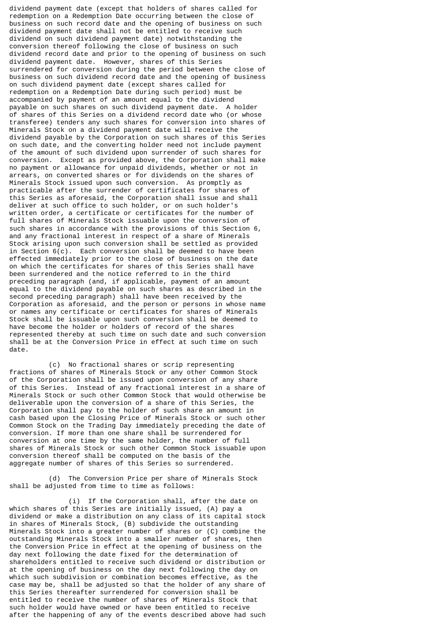dividend payment date (except that holders of shares called for redemption on a Redemption Date occurring between the close of business on such record date and the opening of business on such dividend payment date shall not be entitled to receive such dividend on such dividend payment date) notwithstanding the conversion thereof following the close of business on such dividend record date and prior to the opening of business on such dividend payment date. However, shares of this Series surrendered for conversion during the period between the close of business on such dividend record date and the opening of business on such dividend payment date (except shares called for redemption on a Redemption Date during such period) must be accompanied by payment of an amount equal to the dividend payable on such shares on such dividend payment date. A holder of shares of this Series on a dividend record date who (or whose transferee) tenders any such shares for conversion into shares of Minerals Stock on a dividend payment date will receive the dividend payable by the Corporation on such shares of this Series on such date, and the converting holder need not include payment of the amount of such dividend upon surrender of such shares for conversion. Except as provided above, the Corporation shall make no payment or allowance for unpaid dividends, whether or not in arrears, on converted shares or for dividends on the shares of Minerals Stock issued upon such conversion. As promptly as practicable after the surrender of certificates for shares of this Series as aforesaid, the Corporation shall issue and shall deliver at such office to such holder, or on such holder's written order, a certificate or certificates for the number of full shares of Minerals Stock issuable upon the conversion of such shares in accordance with the provisions of this Section 6, and any fractional interest in respect of a share of Minerals Stock arising upon such conversion shall be settled as provided in Section  $6(c)$ . Each conversion shall be deemed to have been effected immediately prior to the close of business on the date on which the certificates for shares of this Series shall have been surrendered and the notice referred to in the third preceding paragraph (and, if applicable, payment of an amount equal to the dividend payable on such shares as described in the second preceding paragraph) shall have been received by the Corporation as aforesaid, and the person or persons in whose name or names any certificate or certificates for shares of Minerals Stock shall be issuable upon such conversion shall be deemed to have become the holder or holders of record of the shares represented thereby at such time on such date and such conversion shall be at the Conversion Price in effect at such time on such date.

 (c) No fractional shares or scrip representing fractions of shares of Minerals Stock or any other Common Stock of the Corporation shall be issued upon conversion of any share of this Series. Instead of any fractional interest in a share of Minerals Stock or such other Common Stock that would otherwise be deliverable upon the conversion of a share of this Series, the Corporation shall pay to the holder of such share an amount in cash based upon the Closing Price of Minerals Stock or such other Common Stock on the Trading Day immediately preceding the date of conversion. If more than one share shall be surrendered for conversion at one time by the same holder, the number of full shares of Minerals Stock or such other Common Stock issuable upon conversion thereof shall be computed on the basis of the aggregate number of shares of this Series so surrendered.

 (d) The Conversion Price per share of Minerals Stock shall be adjusted from time to time as follows:

 (i) If the Corporation shall, after the date on which shares of this Series are initially issued, (A) pay a dividend or make a distribution on any class of its capital stock in shares of Minerals Stock, (B) subdivide the outstanding Minerals Stock into a greater number of shares or (C) combine the outstanding Minerals Stock into a smaller number of shares, then the Conversion Price in effect at the opening of business on the day next following the date fixed for the determination of shareholders entitled to receive such dividend or distribution or at the opening of business on the day next following the day on which such subdivision or combination becomes effective, as the case may be, shall be adjusted so that the holder of any share of this Series thereafter surrendered for conversion shall be entitled to receive the number of shares of Minerals Stock that such holder would have owned or have been entitled to receive after the happening of any of the events described above had such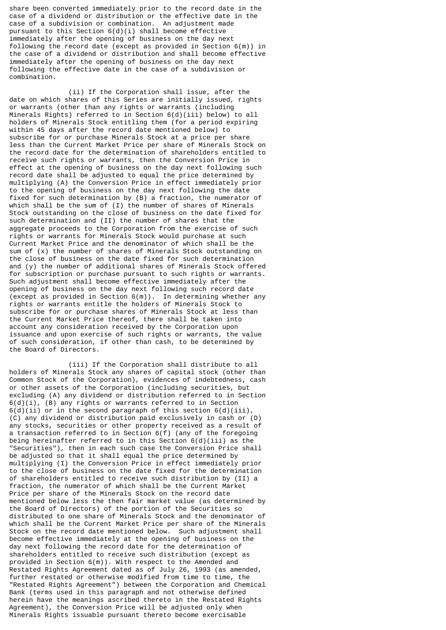share been converted immediately prior to the record date in the case of a dividend or distribution or the effective date in the case of a subdivision or combination. An adjustment made pursuant to this Section 6(d)(i) shall become effective immediately after the opening of business on the day next following the record date (except as provided in Section 6(m)) in the case of a dividend or distribution and shall become effective immediately after the opening of business on the day next following the effective date in the case of a subdivision or combination.

 (ii) If the Corporation shall issue, after the date on which shares of this Series are initially issued, rights or warrants (other than any rights or warrants (including Minerals Rights) referred to in Section  $6(d)(iii)$  below) to all holders of Minerals Stock entitling them (for a period expiring within 45 days after the record date mentioned below) to subscribe for or purchase Minerals Stock at a price per share less than the Current Market Price per share of Minerals Stock on the record date for the determination of shareholders entitled to receive such rights or warrants, then the Conversion Price in effect at the opening of business on the day next following such record date shall be adjusted to equal the price determined by multiplying (A) the Conversion Price in effect immediately prior to the opening of business on the day next following the date fixed for such determination by (B) a fraction, the numerator of which shall be the sum of (I) the number of shares of Minerals Stock outstanding on the close of business on the date fixed for such determination and (II) the number of shares that the aggregate proceeds to the Corporation from the exercise of such rights or warrants for Minerals Stock would purchase at such Current Market Price and the denominator of which shall be the sum of (x) the number of shares of Minerals Stock outstanding on the close of business on the date fixed for such determination and (y) the number of additional shares of Minerals Stock offered for subscription or purchase pursuant to such rights or warrants. Such adjustment shall become effective immediately after the opening of business on the day next following such record date (except as provided in Section 6(m)). In determining whether any rights or warrants entitle the holders of Minerals Stock to subscribe for or purchase shares of Minerals Stock at less than the Current Market Price thereof, there shall be taken into account any consideration received by the Corporation upon issuance and upon exercise of such rights or warrants, the value of such consideration, if other than cash, to be determined by the Board of Directors.

 (iii) If the Corporation shall distribute to all holders of Minerals Stock any shares of capital stock (other than Common Stock of the Corporation), evidences of indebtedness, cash or other assets of the Corporation (including securities, but excluding (A) any dividend or distribution referred to in Section  $6(d)(i)$ , (B) any rights or warrants referred to in Section  $6(d)(ii)$  or in the second paragraph of this section  $6(d)(iii)$ , (C) any dividend or distribution paid exclusively in cash or (D) any stocks, securities or other property received as a result of a transaction referred to in Section 6(f) (any of the foregoing being hereinafter referred to in this Section  $6(d)(iii)$  as the "Securities"), then in each such case the Conversion Price shall be adjusted so that it shall equal the price determined by multiplying (I) the Conversion Price in effect immediately prior to the close of business on the date fixed for the determination of shareholders entitled to receive such distribution by (II) a fraction, the numerator of which shall be the Current Market Price per share of the Minerals Stock on the record date mentioned below less the then fair market value (as determined by the Board of Directors) of the portion of the Securities so distributed to one share of Minerals Stock and the denominator of which shall be the Current Market Price per share of the Minerals Stock on the record date mentioned below. Such adjustment shall become effective immediately at the opening of business on the day next following the record date for the determination of shareholders entitled to receive such distribution (except as provided in Section 6(m)). With respect to the Amended and Restated Rights Agreement dated as of July 26, 1993 (as amended, further restated or otherwise modified from time to time, the "Restated Rights Agreement") between the Corporation and Chemical Bank (terms used in this paragraph and not otherwise defined herein have the meanings ascribed thereto in the Restated Rights Agreement), the Conversion Price will be adjusted only when Minerals Rights issuable pursuant thereto become exercisable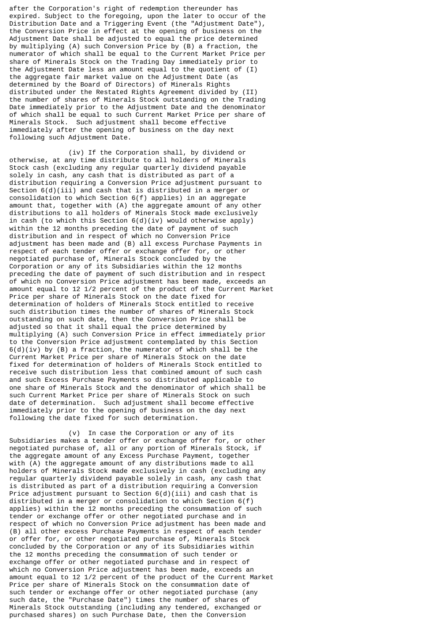after the Corporation's right of redemption thereunder has expired. Subject to the foregoing, upon the later to occur of the Distribution Date and a Triggering Event (the "Adjustment Date"), the Conversion Price in effect at the opening of business on the Adjustment Date shall be adjusted to equal the price determined by multiplying (A) such Conversion Price by (B) a fraction, the numerator of which shall be equal to the Current Market Price per share of Minerals Stock on the Trading Day immediately prior to the Adjustment Date less an amount equal to the quotient of (I) the aggregate fair market value on the Adjustment Date (as determined by the Board of Directors) of Minerals Rights distributed under the Restated Rights Agreement divided by (II) the number of shares of Minerals Stock outstanding on the Trading Date immediately prior to the Adjustment Date and the denominator of which shall be equal to such Current Market Price per share of Minerals Stock. Such adjustment shall become effective immediately after the opening of business on the day next following such Adjustment Date.

 (iv) If the Corporation shall, by dividend or otherwise, at any time distribute to all holders of Minerals Stock cash (excluding any regular quarterly dividend payable solely in cash, any cash that is distributed as part of a distribution requiring a Conversion Price adjustment pursuant to Section 6(d)(iii) and cash that is distributed in a merger or consolidation to which Section 6(f) applies) in an aggregate amount that, together with (A) the aggregate amount of any other distributions to all holders of Minerals Stock made exclusively in cash (to which this Section 6(d)(iv) would otherwise apply) within the 12 months preceding the date of payment of such distribution and in respect of which no Conversion Price adjustment has been made and (B) all excess Purchase Payments in respect of each tender offer or exchange offer for, or other negotiated purchase of, Minerals Stock concluded by the Corporation or any of its Subsidiaries within the 12 months preceding the date of payment of such distribution and in respect of which no Conversion Price adjustment has been made, exceeds an amount equal to 12 1/2 percent of the product of the Current Market Price per share of Minerals Stock on the date fixed for determination of holders of Minerals Stock entitled to receive such distribution times the number of shares of Minerals Stock outstanding on such date, then the Conversion Price shall be adjusted so that it shall equal the price determined by multiplying (A) such Conversion Price in effect immediately prior to the Conversion Price adjustment contemplated by this Section  $6(d)(iv)$  by (B) a fraction, the numerator of which shall be the Current Market Price per share of Minerals Stock on the date fixed for determination of holders of Minerals Stock entitled to receive such distribution less that combined amount of such cash and such Excess Purchase Payments so distributed applicable to one share of Minerals Stock and the denominator of which shall be such Current Market Price per share of Minerals Stock on such date of determination. Such adjustment shall become effective immediately prior to the opening of business on the day next following the date fixed for such determination.

 (v) In case the Corporation or any of its Subsidiaries makes a tender offer or exchange offer for, or other negotiated purchase of, all or any portion of Minerals Stock, if the aggregate amount of any Excess Purchase Payment, together with (A) the aggregate amount of any distributions made to all holders of Minerals Stock made exclusively in cash (excluding any regular quarterly dividend payable solely in cash, any cash that is distributed as part of a distribution requiring a Conversion Price adjustment pursuant to Section  $6(d)(iii)$  and cash that is distributed in a merger or consolidation to which Section 6(f) applies) within the 12 months preceding the consummation of such tender or exchange offer or other negotiated purchase and in respect of which no Conversion Price adjustment has been made and (B) all other excess Purchase Payments in respect of each tender or offer for, or other negotiated purchase of, Minerals Stock concluded by the Corporation or any of its Subsidiaries within the 12 months preceding the consummation of such tender or exchange offer or other negotiated purchase and in respect of which no Conversion Price adjustment has been made, exceeds an amount equal to 12 1/2 percent of the product of the Current Market Price per share of Minerals Stock on the consummation date of such tender or exchange offer or other negotiated purchase (any such date, the "Purchase Date") times the number of shares of Minerals Stock outstanding (including any tendered, exchanged or purchased shares) on such Purchase Date, then the Conversion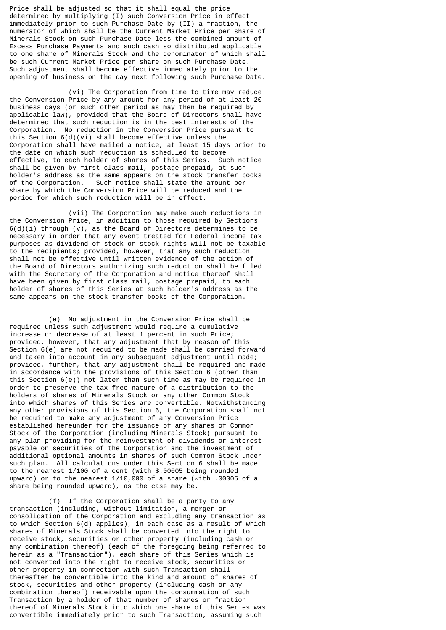Price shall be adjusted so that it shall equal the price determined by multiplying (I) such Conversion Price in effect immediately prior to such Purchase Date by (II) a fraction, the numerator of which shall be the Current Market Price per share of Minerals Stock on such Purchase Date less the combined amount of Excess Purchase Payments and such cash so distributed applicable to one share of Minerals Stock and the denominator of which shall be such Current Market Price per share on such Purchase Date. Such adjustment shall become effective immediately prior to the opening of business on the day next following such Purchase Date.

 (vi) The Corporation from time to time may reduce the Conversion Price by any amount for any period of at least 20 business days (or such other period as may then be required by applicable law), provided that the Board of Directors shall have determined that such reduction is in the best interests of the Corporation. No reduction in the Conversion Price pursuant to this Section 6(d)(vi) shall become effective unless the Corporation shall have mailed a notice, at least 15 days prior to the date on which such reduction is scheduled to become effective, to each holder of shares of this Series. Such notice shall be given by first class mail, postage prepaid, at such holder's address as the same appears on the stock transfer books<br>of the Corporation. Such notice shall state the amount per Such notice shall state the amount per share by which the Conversion Price will be reduced and the period for which such reduction will be in effect.

 (vii) The Corporation may make such reductions in the Conversion Price, in addition to those required by Sections  $6(d)(i)$  through  $(v)$ , as the Board of Directors determines to be necessary in order that any event treated for Federal income tax purposes as dividend of stock or stock rights will not be taxable to the recipients; provided, however, that any such reduction shall not be effective until written evidence of the action of the Board of Directors authorizing such reduction shall be filed with the Secretary of the Corporation and notice thereof shall have been given by first class mail, postage prepaid, to each holder of shares of this Series at such holder's address as the same appears on the stock transfer books of the Corporation.

 (e) No adjustment in the Conversion Price shall be required unless such adjustment would require a cumulative increase or decrease of at least 1 percent in such Price; provided, however, that any adjustment that by reason of this Section 6(e) are not required to be made shall be carried forward and taken into account in any subsequent adjustment until made; provided, further, that any adjustment shall be required and made in accordance with the provisions of this Section 6 (other than this Section  $6(e)$ ) not later than such time as may be required in order to preserve the tax-free nature of a distribution to the holders of shares of Minerals Stock or any other Common Stock into which shares of this Series are convertible. Notwithstanding any other provisions of this Section 6, the Corporation shall not be required to make any adjustment of any Conversion Price established hereunder for the issuance of any shares of Common Stock of the Corporation (including Minerals Stock) pursuant to any plan providing for the reinvestment of dividends or interest payable on securities of the Corporation and the investment of additional optional amounts in shares of such Common Stock under such plan. All calculations under this Section 6 shall be made to the nearest 1/100 of a cent (with \$.00005 being rounded upward) or to the nearest 1/10,000 of a share (with .00005 of a share being rounded upward), as the case may be.

 (f) If the Corporation shall be a party to any transaction (including, without limitation, a merger or consolidation of the Corporation and excluding any transaction as to which Section 6(d) applies), in each case as a result of which shares of Minerals Stock shall be converted into the right to receive stock, securities or other property (including cash or any combination thereof) (each of the foregoing being referred to herein as a "Transaction"), each share of this Series which is not converted into the right to receive stock, securities or other property in connection with such Transaction shall thereafter be convertible into the kind and amount of shares of stock, securities and other property (including cash or any combination thereof) receivable upon the consummation of such Transaction by a holder of that number of shares or fraction thereof of Minerals Stock into which one share of this Series was convertible immediately prior to such Transaction, assuming such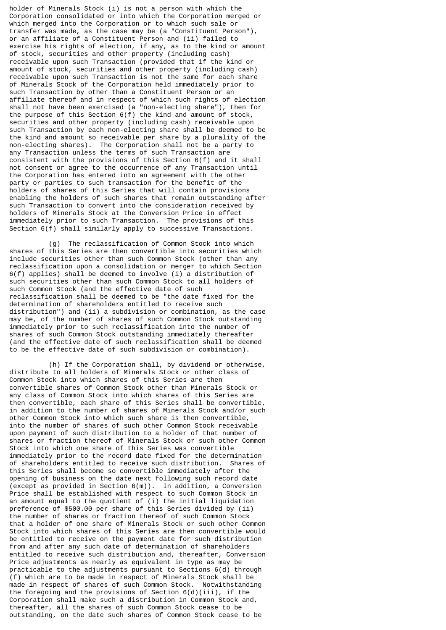holder of Minerals Stock (i) is not a person with which the Corporation consolidated or into which the Corporation merged or which merged into the Corporation or to which such sale or transfer was made, as the case may be (a "Constituent Person"), or an affiliate of a Constituent Person and (ii) failed to exercise his rights of election, if any, as to the kind or amount of stock, securities and other property (including cash) receivable upon such Transaction (provided that if the kind or amount of stock, securities and other property (including cash) receivable upon such Transaction is not the same for each share of Minerals Stock of the Corporation held immediately prior to such Transaction by other than a Constituent Person or an affiliate thereof and in respect of which such rights of election shall not have been exercised (a "non-electing share"), then for the purpose of this Section 6(f) the kind and amount of stock, securities and other property (including cash) receivable upon such Transaction by each non-electing share shall be deemed to be the kind and amount so receivable per share by a plurality of the non-electing shares). The Corporation shall not be a party to any Transaction unless the terms of such Transaction are consistent with the provisions of this Section 6(f) and it shall not consent or agree to the occurrence of any Transaction until the Corporation has entered into an agreement with the other party or parties to such transaction for the benefit of the holders of shares of this Series that will contain provisions enabling the holders of such shares that remain outstanding after such Transaction to convert into the consideration received by holders of Minerals Stock at the Conversion Price in effect immediately prior to such Transaction. The provisions of this Section 6(f) shall similarly apply to successive Transactions.

 (g) The reclassification of Common Stock into which shares of this Series are then convertible into securities which include securities other than such Common Stock (other than any reclassification upon a consolidation or merger to which Section 6(f) applies) shall be deemed to involve (i) a distribution of such securities other than such Common Stock to all holders of such Common Stock (and the effective date of such reclassification shall be deemed to be "the date fixed for the determination of shareholders entitled to receive such distribution") and (ii) a subdivision or combination, as the case may be, of the number of shares of such Common Stock outstanding immediately prior to such reclassification into the number of shares of such Common Stock outstanding immediately thereafter (and the effective date of such reclassification shall be deemed to be the effective date of such subdivision or combination).

 (h) If the Corporation shall, by dividend or otherwise, distribute to all holders of Minerals Stock or other class of Common Stock into which shares of this Series are then convertible shares of Common Stock other than Minerals Stock or any class of Common Stock into which shares of this Series are then convertible, each share of this Series shall be convertible, in addition to the number of shares of Minerals Stock and/or such other Common Stock into which such share is then convertible, into the number of shares of such other Common Stock receivable upon payment of such distribution to a holder of that number of shares or fraction thereof of Minerals Stock or such other Common Stock into which one share of this Series was convertible immediately prior to the record date fixed for the determination of shareholders entitled to receive such distribution. Shares of this Series shall become so convertible immediately after the opening of business on the date next following such record date (except as provided in Section 6(m)). In addition, a Conversion Price shall be established with respect to such Common Stock in an amount equal to the quotient of (i) the initial liquidation preference of \$500.00 per share of this Series divided by (ii) the number of shares or fraction thereof of such Common Stock that a holder of one share of Minerals Stock or such other Common Stock into which shares of this Series are then convertible would be entitled to receive on the payment date for such distribution from and after any such date of determination of shareholders entitled to receive such distribution and, thereafter, Conversion Price adjustments as nearly as equivalent in type as may be practicable to the adjustments pursuant to Sections 6(d) through (f) which are to be made in respect of Minerals Stock shall be made in respect of shares of such Common Stock. Notwithstanding the foregoing and the provisions of Section  $6(d)(iii)$ , if the Corporation shall make such a distribution in Common Stock and, thereafter, all the shares of such Common Stock cease to be outstanding, on the date such shares of Common Stock cease to be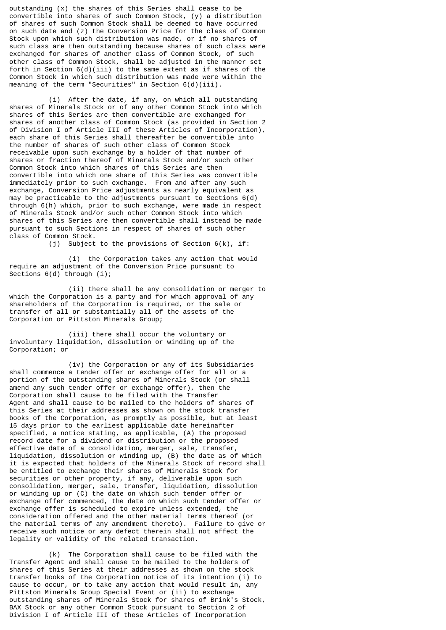outstanding (x) the shares of this Series shall cease to be convertible into shares of such Common Stock, (y) a distribution of shares of such Common Stock shall be deemed to have occurred on such date and (z) the Conversion Price for the class of Common Stock upon which such distribution was made, or if no shares of such class are then outstanding because shares of such class were exchanged for shares of another class of Common Stock, of such other class of Common Stock, shall be adjusted in the manner set forth in Section  $6(d)(iii)$  to the same extent as if shares of the Common Stock in which such distribution was made were within the meaning of the term "Securities" in Section 6(d)(iii).

 (i) After the date, if any, on which all outstanding shares of Minerals Stock or of any other Common Stock into which shares of this Series are then convertible are exchanged for shares of another class of Common Stock (as provided in Section 2 of Division I of Article III of these Articles of Incorporation), each share of this Series shall thereafter be convertible into the number of shares of such other class of Common Stock receivable upon such exchange by a holder of that number of shares or fraction thereof of Minerals Stock and/or such other Common Stock into which shares of this Series are then convertible into which one share of this Series was convertible immediately prior to such exchange. From and after any such exchange, Conversion Price adjustments as nearly equivalent as may be practicable to the adjustments pursuant to Sections 6(d) through 6(h) which, prior to such exchange, were made in respect of Minerals Stock and/or such other Common Stock into which shares of this Series are then convertible shall instead be made pursuant to such Sections in respect of shares of such other class of Common Stock.

(j) Subject to the provisions of Section 6(k), if:

 (i) the Corporation takes any action that would require an adjustment of the Conversion Price pursuant to Sections 6(d) through (i);

 (ii) there shall be any consolidation or merger to which the Corporation is a party and for which approval of any shareholders of the Corporation is required, or the sale or transfer of all or substantially all of the assets of the Corporation or Pittston Minerals Group;

 (iii) there shall occur the voluntary or involuntary liquidation, dissolution or winding up of the Corporation; or

 (iv) the Corporation or any of its Subsidiaries shall commence a tender offer or exchange offer for all or a portion of the outstanding shares of Minerals Stock (or shall amend any such tender offer or exchange offer), then the Corporation shall cause to be filed with the Transfer Agent and shall cause to be mailed to the holders of shares of this Series at their addresses as shown on the stock transfer books of the Corporation, as promptly as possible, but at least 15 days prior to the earliest applicable date hereinafter specified, a notice stating, as applicable, (A) the proposed record date for a dividend or distribution or the proposed effective date of a consolidation, merger, sale, transfer, liquidation, dissolution or winding up, (B) the date as of which it is expected that holders of the Minerals Stock of record shall be entitled to exchange their shares of Minerals Stock for securities or other property, if any, deliverable upon such consolidation, merger, sale, transfer, liquidation, dissolution or winding up or (C) the date on which such tender offer or exchange offer commenced, the date on which such tender offer or exchange offer is scheduled to expire unless extended, the consideration offered and the other material terms thereof (or the material terms of any amendment thereto). Failure to give or receive such notice or any defect therein shall not affect the legality or validity of the related transaction.

 (k) The Corporation shall cause to be filed with the Transfer Agent and shall cause to be mailed to the holders of shares of this Series at their addresses as shown on the stock transfer books of the Corporation notice of its intention (i) to cause to occur, or to take any action that would result in, any Pittston Minerals Group Special Event or (ii) to exchange outstanding shares of Minerals Stock for shares of Brink's Stock, BAX Stock or any other Common Stock pursuant to Section 2 of Division I of Article III of these Articles of Incorporation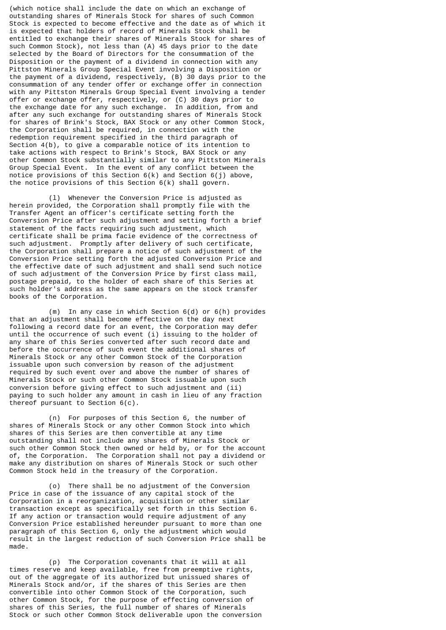(which notice shall include the date on which an exchange of outstanding shares of Minerals Stock for shares of such Common Stock is expected to become effective and the date as of which it is expected that holders of record of Minerals Stock shall be entitled to exchange their shares of Minerals Stock for shares of such Common Stock), not less than  $(A)$  45 days prior to the date selected by the Board of Directors for the consummation of the Disposition or the payment of a dividend in connection with any Pittston Minerals Group Special Event involving a Disposition or the payment of a dividend, respectively, (B) 30 days prior to the consummation of any tender offer or exchange offer in connection with any Pittston Minerals Group Special Event involving a tender offer or exchange offer, respectively, or (C) 30 days prior to the exchange date for any such exchange. In addition, from and after any such exchange for outstanding shares of Minerals Stock for shares of Brink's Stock, BAX Stock or any other Common Stock, the Corporation shall be required, in connection with the redemption requirement specified in the third paragraph of Section 4(b), to give a comparable notice of its intention to take actions with respect to Brink's Stock, BAX Stock or any other Common Stock substantially similar to any Pittston Minerals Group Special Event. In the event of any conflict between the notice provisions of this Section 6(k) and Section 6(j) above, the notice provisions of this Section 6(k) shall govern.

 (l) Whenever the Conversion Price is adjusted as herein provided, the Corporation shall promptly file with the Transfer Agent an officer's certificate setting forth the Conversion Price after such adjustment and setting forth a brief statement of the facts requiring such adjustment, which certificate shall be prima facie evidence of the correctness of such adjustment. Promptly after delivery of such certificate, the Corporation shall prepare a notice of such adjustment of the Conversion Price setting forth the adjusted Conversion Price and the effective date of such adjustment and shall send such notice of such adjustment of the Conversion Price by first class mail, postage prepaid, to the holder of each share of this Series at such holder's address as the same appears on the stock transfer books of the Corporation.

 (m) In any case in which Section 6(d) or 6(h) provides that an adjustment shall become effective on the day next following a record date for an event, the Corporation may defer until the occurrence of such event (i) issuing to the holder of any share of this Series converted after such record date and before the occurrence of such event the additional shares of Minerals Stock or any other Common Stock of the Corporation issuable upon such conversion by reason of the adjustment required by such event over and above the number of shares of Minerals Stock or such other Common Stock issuable upon such conversion before giving effect to such adjustment and (ii) paying to such holder any amount in cash in lieu of any fraction thereof pursuant to Section 6(c).

 (n) For purposes of this Section 6, the number of shares of Minerals Stock or any other Common Stock into which shares of this Series are then convertible at any time outstanding shall not include any shares of Minerals Stock or such other Common Stock then owned or held by, or for the account of, the Corporation. The Corporation shall not pay a dividend or make any distribution on shares of Minerals Stock or such other Common Stock held in the treasury of the Corporation.

 (o) There shall be no adjustment of the Conversion Price in case of the issuance of any capital stock of the Corporation in a reorganization, acquisition or other similar transaction except as specifically set forth in this Section 6. If any action or transaction would require adjustment of any Conversion Price established hereunder pursuant to more than one paragraph of this Section 6, only the adjustment which would result in the largest reduction of such Conversion Price shall be made.

 (p) The Corporation covenants that it will at all times reserve and keep available, free from preemptive rights, out of the aggregate of its authorized but unissued shares of Minerals Stock and/or, if the shares of this Series are then convertible into other Common Stock of the Corporation, such other Common Stock, for the purpose of effecting conversion of shares of this Series, the full number of shares of Minerals Stock or such other Common Stock deliverable upon the conversion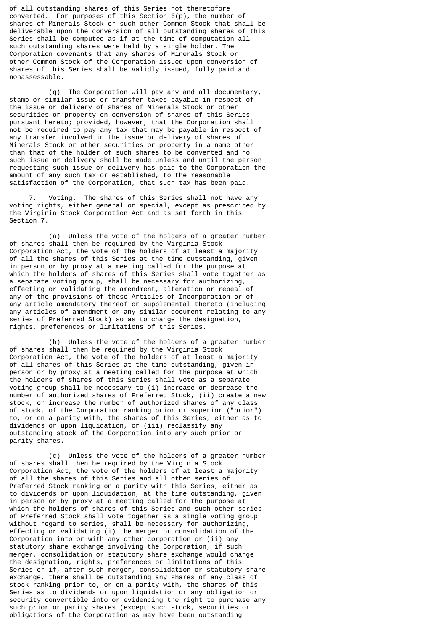of all outstanding shares of this Series not theretofore converted. For purposes of this Section 6(p), the number of shares of Minerals Stock or such other Common Stock that shall be deliverable upon the conversion of all outstanding shares of this Series shall be computed as if at the time of computation all such outstanding shares were held by a single holder. The Corporation covenants that any shares of Minerals Stock or other Common Stock of the Corporation issued upon conversion of shares of this Series shall be validly issued, fully paid and nonassessable.

 (q) The Corporation will pay any and all documentary, stamp or similar issue or transfer taxes payable in respect of the issue or delivery of shares of Minerals Stock or other securities or property on conversion of shares of this Series pursuant hereto; provided, however, that the Corporation shall not be required to pay any tax that may be payable in respect of any transfer involved in the issue or delivery of shares of Minerals Stock or other securities or property in a name other than that of the holder of such shares to be converted and no such issue or delivery shall be made unless and until the person requesting such issue or delivery has paid to the Corporation the amount of any such tax or established, to the reasonable satisfaction of the Corporation, that such tax has been paid.

 7. Voting. The shares of this Series shall not have any voting rights, either general or special, except as prescribed by the Virginia Stock Corporation Act and as set forth in this Section 7.

 (a) Unless the vote of the holders of a greater number of shares shall then be required by the Virginia Stock Corporation Act, the vote of the holders of at least a majority of all the shares of this Series at the time outstanding, given in person or by proxy at a meeting called for the purpose at which the holders of shares of this Series shall vote together as a separate voting group, shall be necessary for authorizing, effecting or validating the amendment, alteration or repeal of any of the provisions of these Articles of Incorporation or of any article amendatory thereof or supplemental thereto (including any articles of amendment or any similar document relating to any series of Preferred Stock) so as to change the designation, rights, preferences or limitations of this Series.

 (b) Unless the vote of the holders of a greater number of shares shall then be required by the Virginia Stock Corporation Act, the vote of the holders of at least a majority of all shares of this Series at the time outstanding, given in person or by proxy at a meeting called for the purpose at which the holders of shares of this Series shall vote as a separate voting group shall be necessary to (i) increase or decrease the number of authorized shares of Preferred Stock, (ii) create a new stock, or increase the number of authorized shares of any class of stock, of the Corporation ranking prior or superior ("prior") to, or on a parity with, the shares of this Series, either as to dividends or upon liquidation, or (iii) reclassify any outstanding stock of the Corporation into any such prior or parity shares.

 (c) Unless the vote of the holders of a greater number of shares shall then be required by the Virginia Stock Corporation Act, the vote of the holders of at least a majority of all the shares of this Series and all other series of Preferred Stock ranking on a parity with this Series, either as to dividends or upon liquidation, at the time outstanding, given in person or by proxy at a meeting called for the purpose at which the holders of shares of this Series and such other series of Preferred Stock shall vote together as a single voting group without regard to series, shall be necessary for authorizing, effecting or validating (i) the merger or consolidation of the Corporation into or with any other corporation or (ii) any statutory share exchange involving the Corporation, if such merger, consolidation or statutory share exchange would change the designation, rights, preferences or limitations of this Series or if, after such merger, consolidation or statutory share exchange, there shall be outstanding any shares of any class of stock ranking prior to, or on a parity with, the shares of this Series as to dividends or upon liquidation or any obligation or security convertible into or evidencing the right to purchase any such prior or parity shares (except such stock, securities or obligations of the Corporation as may have been outstanding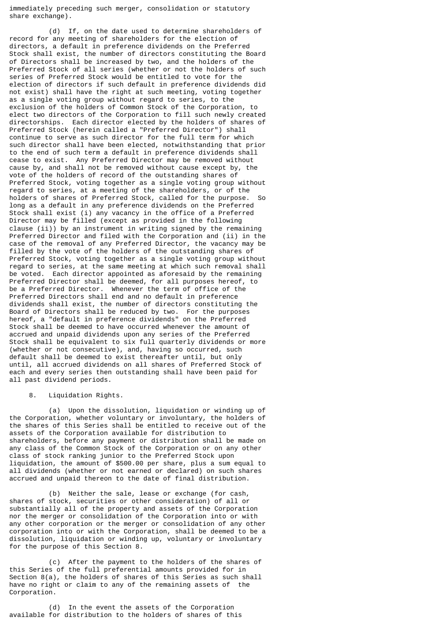immediately preceding such merger, consolidation or statutory share exchange).

 (d) If, on the date used to determine shareholders of record for any meeting of shareholders for the election of directors, a default in preference dividends on the Preferred Stock shall exist, the number of directors constituting the Board of Directors shall be increased by two, and the holders of the Preferred Stock of all series (whether or not the holders of such series of Preferred Stock would be entitled to vote for the election of directors if such default in preference dividends did not exist) shall have the right at such meeting, voting together as a single voting group without regard to series, to the exclusion of the holders of Common Stock of the Corporation, to elect two directors of the Corporation to fill such newly created directorships. Each director elected by the holders of shares of Preferred Stock (herein called a "Preferred Director") shall continue to serve as such director for the full term for which such director shall have been elected, notwithstanding that prior to the end of such term a default in preference dividends shall cease to exist. Any Preferred Director may be removed without cause by, and shall not be removed without cause except by, the vote of the holders of record of the outstanding shares of Preferred Stock, voting together as a single voting group without regard to series, at a meeting of the shareholders, or of the holders of shares of Preferred Stock, called for the purpose. So long as a default in any preference dividends on the Preferred Stock shall exist (i) any vacancy in the office of a Preferred Director may be filled (except as provided in the following clause (ii)) by an instrument in writing signed by the remaining Preferred Director and filed with the Corporation and (ii) in the case of the removal of any Preferred Director, the vacancy may be filled by the vote of the holders of the outstanding shares of Preferred Stock, voting together as a single voting group without regard to series, at the same meeting at which such removal shall be voted. Each director appointed as aforesaid by the remaining Preferred Director shall be deemed, for all purposes hereof, to be a Preferred Director. Whenever the term of office of the Preferred Directors shall end and no default in preference dividends shall exist, the number of directors constituting the Board of Directors shall be reduced by two. For the purposes hereof, a "default in preference dividends" on the Preferred Stock shall be deemed to have occurred whenever the amount of accrued and unpaid dividends upon any series of the Preferred Stock shall be equivalent to six full quarterly dividends or more (whether or not consecutive), and, having so occurred, such default shall be deemed to exist thereafter until, but only until, all accrued dividends on all shares of Preferred Stock of each and every series then outstanding shall have been paid for all past dividend periods.

8. Liquidation Rights.

 (a) Upon the dissolution, liquidation or winding up of the Corporation, whether voluntary or involuntary, the holders of the shares of this Series shall be entitled to receive out of the assets of the Corporation available for distribution to shareholders, before any payment or distribution shall be made on anv class of the Common Stock of the Corporation or on any other class of stock ranking junior to the Preferred Stock upon liquidation, the amount of \$500.00 per share, plus a sum equal to all dividends (whether or not earned or declared) on such shares accrued and unpaid thereon to the date of final distribution.

 (b) Neither the sale, lease or exchange (for cash, shares of stock, securities or other consideration) of all or substantially all of the property and assets of the Corporation nor the merger or consolidation of the Corporation into or with any other corporation or the merger or consolidation of any other corporation into or with the Corporation, shall be deemed to be a dissolution, liquidation or winding up, voluntary or involuntary for the purpose of this Section 8.

 (c) After the payment to the holders of the shares of this Series of the full preferential amounts provided for in Section 8(a), the holders of shares of this Series as such shall have no right or claim to any of the remaining assets of the Corporation.

 (d) In the event the assets of the Corporation available for distribution to the holders of shares of this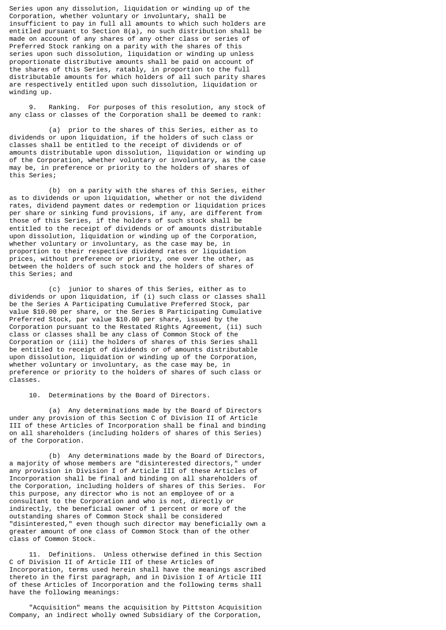Series upon any dissolution, liquidation or winding up of the Corporation, whether voluntary or involuntary, shall be insufficient to pay in full all amounts to which such holders are entitled pursuant to Section 8(a), no such distribution shall be made on account of any shares of any other class or series of Preferred Stock ranking on a parity with the shares of this series upon such dissolution, liquidation or winding up unless proportionate distributive amounts shall be paid on account of the shares of this Series, ratably, in proportion to the full distributable amounts for which holders of all such parity shares are respectively entitled upon such dissolution, liquidation or winding up.

 9. Ranking. For purposes of this resolution, any stock of any class or classes of the Corporation shall be deemed to rank:

 (a) prior to the shares of this Series, either as to dividends or upon liquidation, if the holders of such class or classes shall be entitled to the receipt of dividends or of amounts distributable upon dissolution, liquidation or winding up of the Corporation, whether voluntary or involuntary, as the case may be, in preference or priority to the holders of shares of this Series;

 (b) on a parity with the shares of this Series, either as to dividends or upon liquidation, whether or not the dividend rates, dividend payment dates or redemption or liquidation prices per share or sinking fund provisions, if any, are different from those of this Series, if the holders of such stock shall be entitled to the receipt of dividends or of amounts distributable upon dissolution, liquidation or winding up of the Corporation, whether voluntary or involuntary, as the case may be, in proportion to their respective dividend rates or liquidation prices, without preference or priority, one over the other, as between the holders of such stock and the holders of shares of this Series; and

 (c) junior to shares of this Series, either as to dividends or upon liquidation, if (i) such class or classes shall be the Series A Participating Cumulative Preferred Stock, par value \$10.00 per share, or the Series B Participating Cumulative Preferred Stock, par value \$10.00 per share, issued by the Corporation pursuant to the Restated Rights Agreement, (ii) such class or classes shall be any class of Common Stock of the Corporation or (iii) the holders of shares of this Series shall be entitled to receipt of dividends or of amounts distributable upon dissolution, liquidation or winding up of the Corporation, whether voluntary or involuntary, as the case may be, in preference or priority to the holders of shares of such class or classes.

10. Determinations by the Board of Directors.

 (a) Any determinations made by the Board of Directors under any provision of this Section C of Division II of Article III of these Articles of Incorporation shall be final and binding on all shareholders (including holders of shares of this Series) of the Corporation.

 (b) Any determinations made by the Board of Directors, a majority of whose members are "disinterested directors," under any provision in Division I of Article III of these Articles of Incorporation shall be final and binding on all shareholders of the Corporation, including holders of shares of this Series. For this purpose, any director who is not an employee of or a consultant to the Corporation and who is not, directly or indirectly, the beneficial owner of 1 percent or more of the outstanding shares of Common Stock shall be considered "disinterested," even though such director may beneficially own a greater amount of one class of Common Stock than of the other class of Common Stock.

 11. Definitions. Unless otherwise defined in this Section C of Division II of Article III of these Articles of Incorporation, terms used herein shall have the meanings ascribed thereto in the first paragraph, and in Division I of Article III of these Articles of Incorporation and the following terms shall have the following meanings:

 "Acquisition" means the acquisition by Pittston Acquisition Company, an indirect wholly owned Subsidiary of the Corporation,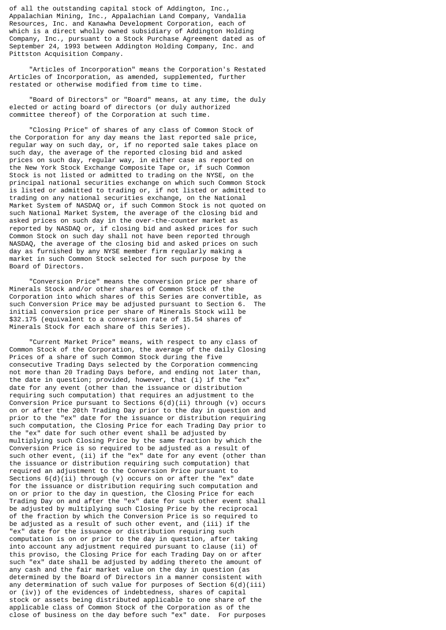of all the outstanding capital stock of Addington, Inc., Appalachian Mining, Inc., Appalachian Land Company, Vandalia Resources, Inc. and Kanawha Development Corporation, each of which is a direct wholly owned subsidiary of Addington Holding Company, Inc., pursuant to a Stock Purchase Agreement dated as of September 24, 1993 between Addington Holding Company, Inc. and Pittston Acquisition Company.

 "Articles of Incorporation" means the Corporation's Restated Articles of Incorporation, as amended, supplemented, further restated or otherwise modified from time to time.

 "Board of Directors" or "Board" means, at any time, the duly elected or acting board of directors (or duly authorized committee thereof) of the Corporation at such time.

 "Closing Price" of shares of any class of Common Stock of the Corporation for any day means the last reported sale price, regular way on such day, or, if no reported sale takes place on such day, the average of the reported closing bid and asked prices on such day, regular way, in either case as reported on the New York Stock Exchange Composite Tape or, if such Common Stock is not listed or admitted to trading on the NYSE, on the principal national securities exchange on which such Common Stock is listed or admitted to trading or, if not listed or admitted to trading on any national securities exchange, on the National Market System of NASDAQ or, if such Common Stock is not quoted on such National Market System, the average of the closing bid and asked prices on such day in the over-the-counter market as reported by NASDAQ or, if closing bid and asked prices for such Common Stock on such day shall not have been reported through NASDAQ, the average of the closing bid and asked prices on such day as furnished by any NYSE member firm regularly making a market in such Common Stock selected for such purpose by the Board of Directors.

 "Conversion Price" means the conversion price per share of Minerals Stock and/or other shares of Common Stock of the Corporation into which shares of this Series are convertible, as such Conversion Price may be adjusted pursuant to Section 6. initial conversion price per share of Minerals Stock will be \$32.175 (equivalent to a conversion rate of 15.54 shares of Minerals Stock for each share of this Series).

 "Current Market Price" means, with respect to any class of Common Stock of the Corporation, the average of the daily Closing Prices of a share of such Common Stock during the five consecutive Trading Days selected by the Corporation commencing not more than 20 Trading Days before, and ending not later than, the date in question; provided, however, that (i) if the "ex" date for any event (other than the issuance or distribution requiring such computation) that requires an adjustment to the Conversion Price pursuant to Sections  $6(d)(ii)$  through (v) occurs on or after the 20th Trading Day prior to the day in question and prior to the "ex" date for the issuance or distribution requiring such computation, the Closing Price for each Trading Day prior to the "ex" date for such other event shall be adjusted by multiplying such Closing Price by the same fraction by which the Conversion Price is so required to be adjusted as a result of such other event, (ii) if the "ex" date for any event (other than the issuance or distribution requiring such computation) that required an adjustment to the Conversion Price pursuant to Sections  $6(d)(ii)$  through (v) occurs on or after the "ex" date for the issuance or distribution requiring such computation and on or prior to the day in question, the Closing Price for each Trading Day on and after the "ex" date for such other event shall be adjusted by multiplying such Closing Price by the reciprocal of the fraction by which the Conversion Price is so required to be adjusted as a result of such other event, and (iii) if the "ex" date for the issuance or distribution requiring such computation is on or prior to the day in question, after taking into account any adjustment required pursuant to clause (ii) of this proviso, the Closing Price for each Trading Day on or after such "ex" date shall be adjusted by adding thereto the amount of any cash and the fair market value on the day in question (as determined by the Board of Directors in a manner consistent with any determination of such value for purposes of Section  $6(d)(iii)$ or (iv)) of the evidences of indebtedness, shares of capital stock or assets being distributed applicable to one share of the applicable class of Common Stock of the Corporation as of the close of business on the day before such "ex" date. For purposes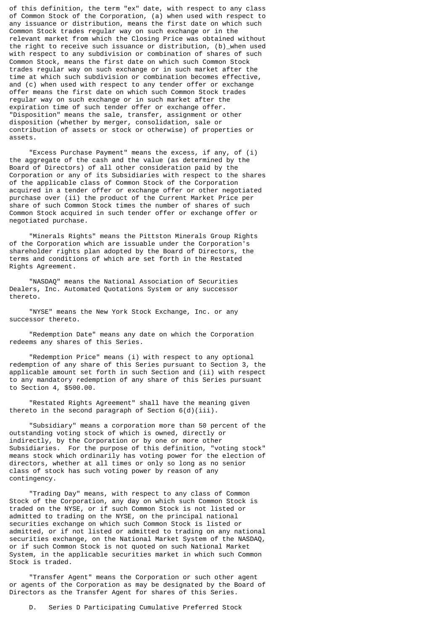of this definition, the term "ex" date, with respect to any class of Common Stock of the Corporation, (a) when used with respect to any issuance or distribution, means the first date on which such Common Stock trades regular way on such exchange or in the relevant market from which the Closing Price was obtained without the right to receive such issuance or distribution, (b)\_when used with respect to any subdivision or combination of shares of such Common Stock, means the first date on which such Common Stock trades regular way on such exchange or in such market after the time at which such subdivision or combination becomes effective, and (c) when used with respect to any tender offer or exchange offer means the first date on which such Common Stock trades regular way on such exchange or in such market after the expiration time of such tender offer or exchange offer. "Disposition" means the sale, transfer, assignment or other disposition (whether by merger, consolidation, sale or contribution of assets or stock or otherwise) of properties or assets.

 "Excess Purchase Payment" means the excess, if any, of (i) the aggregate of the cash and the value (as determined by the Board of Directors) of all other consideration paid by the Corporation or any of its Subsidiaries with respect to the shares of the applicable class of Common Stock of the Corporation acquired in a tender offer or exchange offer or other negotiated purchase over (ii) the product of the Current Market Price per share of such Common Stock times the number of shares of such Common Stock acquired in such tender offer or exchange offer or negotiated purchase.

 "Minerals Rights" means the Pittston Minerals Group Rights of the Corporation which are issuable under the Corporation's shareholder rights plan adopted by the Board of Directors, the terms and conditions of which are set forth in the Restated Rights Agreement.

 "NASDAQ" means the National Association of Securities Dealers, Inc. Automated Quotations System or any successor thereto.

 "NYSE" means the New York Stock Exchange, Inc. or any successor thereto.

 "Redemption Date" means any date on which the Corporation redeems any shares of this Series.

 "Redemption Price" means (i) with respect to any optional redemption of any share of this Series pursuant to Section 3, the applicable amount set forth in such Section and (ii) with respect to any mandatory redemption of any share of this Series pursuant to Section 4, \$500.00.

 "Restated Rights Agreement" shall have the meaning given thereto in the second paragraph of Section  $6(d)(iii)$ .

 "Subsidiary" means a corporation more than 50 percent of the outstanding voting stock of which is owned, directly or indirectly, by the Corporation or by one or more other Subsidiaries. For the purpose of this definition, "voting stock" means stock which ordinarily has voting power for the election of directors, whether at all times or only so long as no senior class of stock has such voting power by reason of any contingency.

 "Trading Day" means, with respect to any class of Common Stock of the Corporation, any day on which such Common Stock is traded on the NYSE, or if such Common Stock is not listed or admitted to trading on the NYSE, on the principal national securities exchange on which such Common Stock is listed or admitted, or if not listed or admitted to trading on any national securities exchange, on the National Market System of the NASDAQ, or if such Common Stock is not quoted on such National Market System, in the applicable securities market in which such Common Stock is traded.

 "Transfer Agent" means the Corporation or such other agent or agents of the Corporation as may be designated by the Board of Directors as the Transfer Agent for shares of this Series.

D. Series D Participating Cumulative Preferred Stock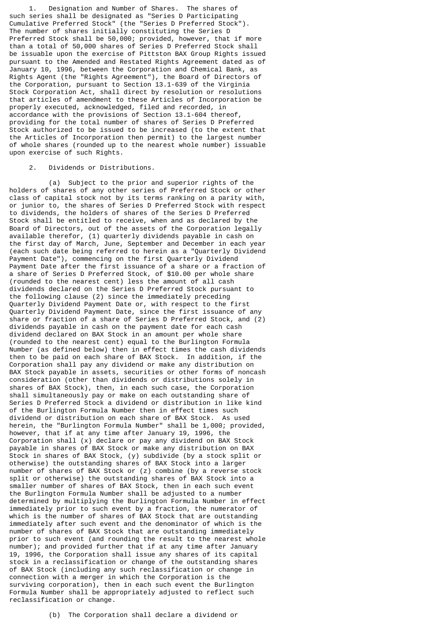1. Designation and Number of Shares. The shares of such series shall be designated as "Series D Participating Cumulative Preferred Stock" (the "Series D Preferred Stock"). The number of shares initially constituting the Series D Preferred Stock shall be 50,000; provided, however, that if more than a total of 50,000 shares of Series D Preferred Stock shall be issuable upon the exercise of Pittston BAX Group Rights issued pursuant to the Amended and Restated Rights Agreement dated as of January 10, 1996, between the Corporation and Chemical Bank, as Rights Agent (the "Rights Agreement"), the Board of Directors of the Corporation, pursuant to Section 13.1-639 of the Virginia Stock Corporation Act, shall direct by resolution or resolutions that articles of amendment to these Articles of Incorporation be properly executed, acknowledged, filed and recorded, in accordance with the provisions of Section 13.1-604 thereof, providing for the total number of shares of Series D Preferred Stock authorized to be issued to be increased (to the extent that the Articles of Incorporation then permit) to the largest number of whole shares (rounded up to the nearest whole number) issuable upon exercise of such Rights.

# 2. Dividends or Distributions.

 (a) Subject to the prior and superior rights of the holders of shares of any other series of Preferred Stock or other class of capital stock not by its terms ranking on a parity with, or junior to, the shares of Series D Preferred Stock with respect to dividends, the holders of shares of the Series D Preferred Stock shall be entitled to receive, when and as declared by the Board of Directors, out of the assets of the Corporation legally available therefor, (1) quarterly dividends payable in cash on the first day of March, June, September and December in each year (each such date being referred to herein as a "Quarterly Dividend Payment Date"), commencing on the first Quarterly Dividend Payment Date after the first issuance of a share or a fraction of a share of Series D Preferred Stock, of \$10.00 per whole share (rounded to the nearest cent) less the amount of all cash dividends declared on the Series D Preferred Stock pursuant to the following clause (2) since the immediately preceding Quarterly Dividend Payment Date or, with respect to the first Quarterly Dividend Payment Date, since the first issuance of any share or fraction of a share of Series D Preferred Stock, and (2) dividends payable in cash on the payment date for each cash dividend declared on BAX Stock in an amount per whole share (rounded to the nearest cent) equal to the Burlington Formula Number (as defined below) then in effect times the cash dividends then to be paid on each share of BAX Stock. In addition, if the Corporation shall pay any dividend or make any distribution on BAX Stock payable in assets, securities or other forms of noncash consideration (other than dividends or distributions solely in shares of BAX Stock), then, in each such case, the Corporation shall simultaneously pay or make on each outstanding share of Series D Preferred Stock a dividend or distribution in like kind of the Burlington Formula Number then in effect times such dividend or distribution on each share of BAX Stock. As used herein, the "Burlington Formula Number" shall be 1,000; provided, however, that if at any time after January 19, 1996, the Corporation shall (x) declare or pay any dividend on BAX Stock payable in shares of BAX Stock or make any distribution on BAX Stock in shares of BAX Stock, (y) subdivide (by a stock split or otherwise) the outstanding shares of BAX Stock into a larger number of shares of BAX Stock or (z) combine (by a reverse stock split or otherwise) the outstanding shares of BAX Stock into a smaller number of shares of BAX Stock, then in each such event the Burlington Formula Number shall be adjusted to a number determined by multiplying the Burlington Formula Number in effect immediately prior to such event by a fraction, the numerator of which is the number of shares of BAX Stock that are outstanding immediately after such event and the denominator of which is the number of shares of BAX Stock that are outstanding immediately prior to such event (and rounding the result to the nearest whole number); and provided further that if at any time after January 19, 1996, the Corporation shall issue any shares of its capital stock in a reclassification or change of the outstanding shares of BAX Stock (including any such reclassification or change in connection with a merger in which the Corporation is the surviving corporation), then in each such event the Burlington Formula Number shall be appropriately adjusted to reflect such reclassification or change.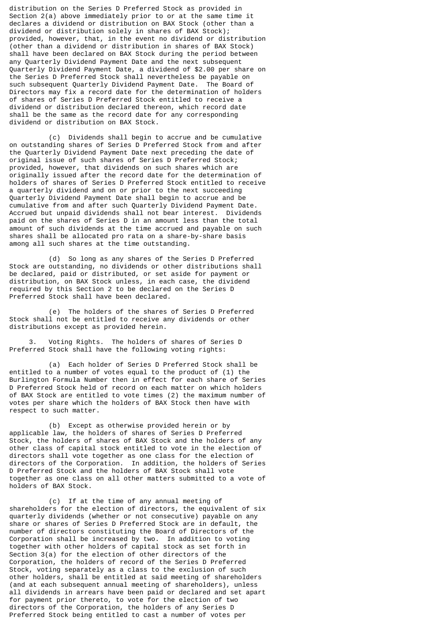distribution on the Series D Preferred Stock as provided in Section 2(a) above immediately prior to or at the same time it declares a dividend or distribution on BAX Stock (other than a dividend or distribution solely in shares of BAX Stock); provided, however, that, in the event no dividend or distribution (other than a dividend or distribution in shares of BAX Stock) shall have been declared on BAX Stock during the period between any Quarterly Dividend Payment Date and the next subsequent Quarterly Dividend Payment Date, a dividend of \$2.00 per share on the Series D Preferred Stock shall nevertheless be payable on such subsequent Quarterly Dividend Payment Date. The Board of Directors may fix a record date for the determination of holders of shares of Series D Preferred Stock entitled to receive a dividend or distribution declared thereon, which record date shall be the same as the record date for any corresponding dividend or distribution on BAX Stock.

 (c) Dividends shall begin to accrue and be cumulative on outstanding shares of Series D Preferred Stock from and after the Quarterly Dividend Payment Date next preceding the date of original issue of such shares of Series D Preferred Stock; provided, however, that dividends on such shares which are originally issued after the record date for the determination of holders of shares of Series D Preferred Stock entitled to receive a quarterly dividend and on or prior to the next succeeding Quarterly Dividend Payment Date shall begin to accrue and be cumulative from and after such Quarterly Dividend Payment Date. Accrued but unpaid dividends shall not bear interest. Dividends paid on the shares of Series D in an amount less than the total amount of such dividends at the time accrued and payable on such shares shall be allocated pro rata on a share-by-share basis among all such shares at the time outstanding.

 (d) So long as any shares of the Series D Preferred Stock are outstanding, no dividends or other distributions shall be declared, paid or distributed, or set aside for payment or distribution, on BAX Stock unless, in each case, the dividend required by this Section 2 to be declared on the Series D Preferred Stock shall have been declared.

 (e) The holders of the shares of Series D Preferred Stock shall not be entitled to receive any dividends or other distributions except as provided herein.

 3. Voting Rights. The holders of shares of Series D Preferred Stock shall have the following voting rights:

 (a) Each holder of Series D Preferred Stock shall be entitled to a number of votes equal to the product of (1) the Burlington Formula Number then in effect for each share of Series D Preferred Stock held of record on each matter on which holders of BAX Stock are entitled to vote times (2) the maximum number of votes per share which the holders of BAX Stock then have with respect to such matter.

 (b) Except as otherwise provided herein or by applicable law, the holders of shares of Series D Preferred Stock, the holders of shares of BAX Stock and the holders of any other class of capital stock entitled to vote in the election of directors shall vote together as one class for the election of directors of the Corporation. In addition, the holders of Series D Preferred Stock and the holders of BAX Stock shall vote together as one class on all other matters submitted to a vote of holders of BAX Stock.

 (c) If at the time of any annual meeting of shareholders for the election of directors, the equivalent of six quarterly dividends (whether or not consecutive) payable on any share or shares of Series D Preferred Stock are in default, the number of directors constituting the Board of Directors of the Corporation shall be increased by two. In addition to voting together with other holders of capital stock as set forth in Section 3(a) for the election of other directors of the Corporation, the holders of record of the Series D Preferred Stock, voting separately as a class to the exclusion of such other holders, shall be entitled at said meeting of shareholders (and at each subsequent annual meeting of shareholders), unless all dividends in arrears have been paid or declared and set apart for payment prior thereto, to vote for the election of two directors of the Corporation, the holders of any Series D Preferred Stock being entitled to cast a number of votes per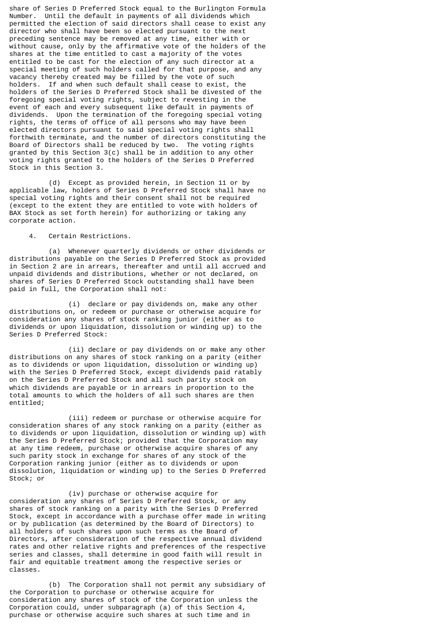share of Series D Preferred Stock equal to the Burlington Formula Number. Until the default in payments of all dividends which permitted the election of said directors shall cease to exist any director who shall have been so elected pursuant to the next preceding sentence may be removed at any time, either with or without cause, only by the affirmative vote of the holders of the shares at the time entitled to cast a majority of the votes entitled to be cast for the election of any such director at a special meeting of such holders called for that purpose, and any vacancy thereby created may be filled by the vote of such holders. If and when such default shall cease to exist, the holders of the Series D Preferred Stock shall be divested of the foregoing special voting rights, subject to revesting in the event of each and every subsequent like default in payments of dividends. Upon the termination of the foregoing special voting rights, the terms of office of all persons who may have been elected directors pursuant to said special voting rights shall forthwith terminate, and the number of directors constituting the Board of Directors shall be reduced by two. The voting rights granted by this Section 3(c) shall be in addition to any other voting rights granted to the holders of the Series D Preferred Stock in this Section 3.

 (d) Except as provided herein, in Section 11 or by applicable law, holders of Series D Preferred Stock shall have no special voting rights and their consent shall not be required (except to the extent they are entitled to vote with holders of BAX Stock as set forth herein) for authorizing or taking any corporate action.

## 4. Certain Restrictions.

 (a) Whenever quarterly dividends or other dividends or distributions payable on the Series D Preferred Stock as provided in Section 2 are in arrears, thereafter and until all accrued and unpaid dividends and distributions, whether or not declared, on shares of Series D Preferred Stock outstanding shall have been paid in full, the Corporation shall not:

 (i) declare or pay dividends on, make any other distributions on, or redeem or purchase or otherwise acquire for consideration any shares of stock ranking junior (either as to dividends or upon liquidation, dissolution or winding up) to the Series D Preferred Stock:

 (ii) declare or pay dividends on or make any other distributions on any shares of stock ranking on a parity (either as to dividends or upon liquidation, dissolution or winding up) with the Series D Preferred Stock, except dividends paid ratably on the Series D Preferred Stock and all such parity stock on which dividends are payable or in arrears in proportion to the total amounts to which the holders of all such shares are then entitled;

 (iii) redeem or purchase or otherwise acquire for consideration shares of any stock ranking on a parity (either as to dividends or upon liquidation, dissolution or winding up) with the Series D Preferred Stock; provided that the Corporation may at any time redeem, purchase or otherwise acquire shares of any such parity stock in exchange for shares of any stock of the Corporation ranking junior (either as to dividends or upon dissolution, liquidation or winding up) to the Series D Preferred Stock; or

 (iv) purchase or otherwise acquire for consideration any shares of Series D Preferred Stock, or any shares of stock ranking on a parity with the Series D Preferred Stock, except in accordance with a purchase offer made in writing or by publication (as determined by the Board of Directors) to all holders of such shares upon such terms as the Board of Directors, after consideration of the respective annual dividend rates and other relative rights and preferences of the respective series and classes, shall determine in good faith will result in fair and equitable treatment among the respective series or classes.

 (b) The Corporation shall not permit any subsidiary of the Corporation to purchase or otherwise acquire for consideration any shares of stock of the Corporation unless the Corporation could, under subparagraph (a) of this Section 4, purchase or otherwise acquire such shares at such time and in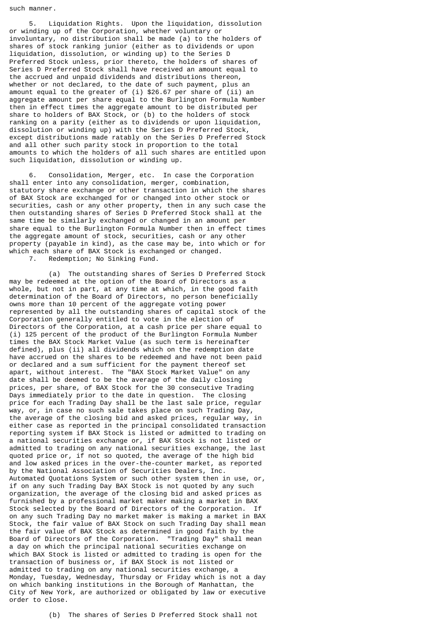such manner.

 5. Liquidation Rights. Upon the liquidation, dissolution or winding up of the Corporation, whether voluntary or involuntary, no distribution shall be made (a) to the holders of shares of stock ranking junior (either as to dividends or upon liquidation, dissolution, or winding up) to the Series D Preferred Stock unless, prior thereto, the holders of shares of Series D Preferred Stock shall have received an amount equal to the accrued and unpaid dividends and distributions thereon, whether or not declared, to the date of such payment, plus an amount equal to the greater of (i) \$26.67 per share of (ii) an aggregate amount per share equal to the Burlington Formula Number then in effect times the aggregate amount to be distributed per share to holders of BAX Stock, or (b) to the holders of stock ranking on a parity (either as to dividends or upon liquidation, dissolution or winding up) with the Series D Preferred Stock, except distributions made ratably on the Series D Preferred Stock and all other such parity stock in proportion to the total amounts to which the holders of all such shares are entitled upon such liquidation, dissolution or winding up.

 6. Consolidation, Merger, etc. In case the Corporation shall enter into any consolidation, merger, combination, statutory share exchange or other transaction in which the shares of BAX Stock are exchanged for or changed into other stock or securities, cash or any other property, then in any such case the then outstanding shares of Series D Preferred Stock shall at the same time be similarly exchanged or changed in an amount per share equal to the Burlington Formula Number then in effect times the aggregate amount of stock, securities, cash or any other property (payable in kind), as the case may be, into which or for which each share of BAX Stock is exchanged or changed. 7. Redemption; No Sinking Fund.

 (a) The outstanding shares of Series D Preferred Stock may be redeemed at the option of the Board of Directors as a whole, but not in part, at any time at which, in the good faith determination of the Board of Directors, no person beneficially owns more than 10 percent of the aggregate voting power represented by all the outstanding shares of capital stock of the Corporation generally entitled to vote in the election of Directors of the Corporation, at a cash price per share equal to (i) 125 percent of the product of the Burlington Formula Number times the BAX Stock Market Value (as such term is hereinafter defined), plus (ii) all dividends which on the redemption date have accrued on the shares to be redeemed and have not been paid or declared and a sum sufficient for the payment thereof set apart, without interest. The "BAX Stock Market Value" on any date shall be deemed to be the average of the daily closing prices, per share, of BAX Stock for the 30 consecutive Trading Days immediately prior to the date in question. The closing price for each Trading Day shall be the last sale price, regular way, or, in case no such sale takes place on such Trading Day, the average of the closing bid and asked prices, regular way, in either case as reported in the principal consolidated transaction reporting system if BAX Stock is listed or admitted to trading on a national securities exchange or, if BAX Stock is not listed or admitted to trading on any national securities exchange, the last quoted price or, if not so quoted, the average of the high bid and low asked prices in the over-the-counter market, as reported by the National Association of Securities Dealers, Inc. Automated Quotations System or such other system then in use, or, if on any such Trading Day BAX Stock is not quoted by any such organization, the average of the closing bid and asked prices as furnished by a professional market maker making a market in BAX Stock selected by the Board of Directors of the Corporation. If on any such Trading Day no market maker is making a market in BAX Stock, the fair value of BAX Stock on such Trading Day shall mean the fair value of BAX Stock as determined in good faith by the Board of Directors of the Corporation. "Trading Day" shall mean a day on which the principal national securities exchange on which BAX Stock is listed or admitted to trading is open for the transaction of business or, if BAX Stock is not listed or admitted to trading on any national securities exchange, a Monday, Tuesday, Wednesday, Thursday or Friday which is not a day on which banking institutions in the Borough of Manhattan, the City of New York, are authorized or obligated by law or executive order to close.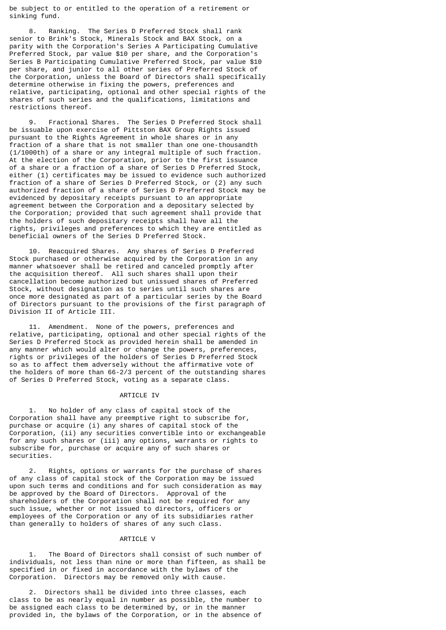be subject to or entitled to the operation of a retirement or sinking fund.

Ranking. The Series D Preferred Stock shall rank senior to Brink's Stock, Minerals Stock and BAX Stock, on a parity with the Corporation's Series A Participating Cumulative Preferred Stock, par value \$10 per share, and the Corporation's Series B Participating Cumulative Preferred Stock, par value \$10 per share, and junior to all other series of Preferred Stock of the Corporation, unless the Board of Directors shall specifically determine otherwise in fixing the powers, preferences and relative, participating, optional and other special rights of the shares of such series and the qualifications, limitations and restrictions thereof.

 9. Fractional Shares. The Series D Preferred Stock shall be issuable upon exercise of Pittston BAX Group Rights issued pursuant to the Rights Agreement in whole shares or in any fraction of a share that is not smaller than one one-thousandth (1/1000th) of a share or any integral multiple of such fraction. At the election of the Corporation, prior to the first issuance of a share or a fraction of a share of Series D Preferred Stock, either (1) certificates may be issued to evidence such authorized fraction of a share of Series D Preferred Stock, or (2) any such authorized fraction of a share of Series D Preferred Stock may be evidenced by depositary receipts pursuant to an appropriate agreement between the Corporation and a depositary selected by the Corporation; provided that such agreement shall provide that the holders of such depositary receipts shall have all the rights, privileges and preferences to which they are entitled as beneficial owners of the Series D Preferred Stock.

 10. Reacquired Shares. Any shares of Series D Preferred Stock purchased or otherwise acquired by the Corporation in any manner whatsoever shall be retired and canceled promptly after the acquisition thereof. All such shares shall upon their cancellation become authorized but unissued shares of Preferred Stock, without designation as to series until such shares are once more designated as part of a particular series by the Board of Directors pursuant to the provisions of the first paragraph of Division II of Article III.

 11. Amendment. None of the powers, preferences and relative, participating, optional and other special rights of the Series D Preferred Stock as provided herein shall be amended in any manner which would alter or change the powers, preferences, rights or privileges of the holders of Series D Preferred Stock so as to affect them adversely without the affirmative vote of the holders of more than 66-2/3 percent of the outstanding shares of Series D Preferred Stock, voting as a separate class.

#### ARTICLE IV

 1. No holder of any class of capital stock of the Corporation shall have any preemptive right to subscribe for, purchase or acquire (i) any shares of capital stock of the Corporation, (ii) any securities convertible into or exchangeable for any such shares or (iii) any options, warrants or rights to subscribe for, purchase or acquire any of such shares or securities.

 2. Rights, options or warrants for the purchase of shares of any class of capital stock of the Corporation may be issued upon such terms and conditions and for such consideration as may be approved by the Board of Directors. Approval of the shareholders of the Corporation shall not be required for any such issue, whether or not issued to directors, officers or employees of the Corporation or any of its subsidiaries rather than generally to holders of shares of any such class.

#### ARTICLE V

 1. The Board of Directors shall consist of such number of individuals, not less than nine or more than fifteen, as shall be specified in or fixed in accordance with the bylaws of the Corporation. Directors may be removed only with cause.

 2. Directors shall be divided into three classes, each class to be as nearly equal in number as possible, the number to be assigned each class to be determined by, or in the manner provided in, the bylaws of the Corporation, or in the absence of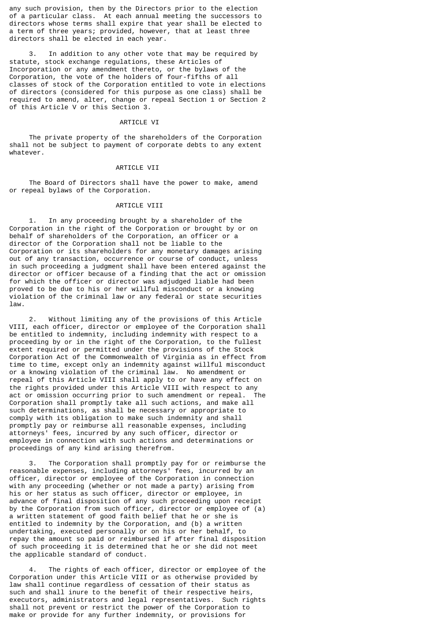any such provision, then by the Directors prior to the election of a particular class. At each annual meeting the successors to directors whose terms shall expire that year shall be elected to a term of three years; provided, however, that at least three directors shall be elected in each year.

 3. In addition to any other vote that may be required by statute, stock exchange regulations, these Articles of Incorporation or any amendment thereto, or the bylaws of the Corporation, the vote of the holders of four-fifths of all classes of stock of the Corporation entitled to vote in elections of directors (considered for this purpose as one class) shall be required to amend, alter, change or repeal Section 1 or Section 2 of this Article V or this Section 3.

#### ARTICLE VI

 The private property of the shareholders of the Corporation shall not be subject to payment of corporate debts to any extent whatever.

#### ARTICLE VII

 The Board of Directors shall have the power to make, amend or repeal bylaws of the Corporation.

## ARTICLE VIII

 1. In any proceeding brought by a shareholder of the Corporation in the right of the Corporation or brought by or on behalf of shareholders of the Corporation, an officer or a director of the Corporation shall not be liable to the Corporation or its shareholders for any monetary damages arising out of any transaction, occurrence or course of conduct, unless in such proceeding a judgment shall have been entered against the director or officer because of a finding that the act or omission for which the officer or director was adjudged liable had been proved to be due to his or her willful misconduct or a knowing violation of the criminal law or any federal or state securities law.

 2. Without limiting any of the provisions of this Article VIII, each officer, director or employee of the Corporation shall be entitled to indemnity, including indemnity with respect to a proceeding by or in the right of the Corporation, to the fullest extent required or permitted under the provisions of the Stock Corporation Act of the Commonwealth of Virginia as in effect from time to time, except only an indemnity against willful misconduct or a knowing violation of the criminal law. No amendment or repeal of this Article VIII shall apply to or have any effect on the rights provided under this Article VIII with respect to any act or omission occurring prior to such amendment or repeal. The Corporation shall promptly take all such actions, and make all such determinations, as shall be necessary or appropriate to comply with its obligation to make such indemnity and shall promptly pay or reimburse all reasonable expenses, including attorneys' fees, incurred by any such officer, director or employee in connection with such actions and determinations or proceedings of any kind arising therefrom.

 3. The Corporation shall promptly pay for or reimburse the reasonable expenses, including attorneys' fees, incurred by an officer, director or employee of the Corporation in connection with any proceeding (whether or not made a party) arising from his or her status as such officer, director or employee, in advance of final disposition of any such proceeding upon receipt by the Corporation from such officer, director or employee of (a) a written statement of good faith belief that he or she is entitled to indemnity by the Corporation, and (b) a written undertaking, executed personally or on his or her behalf, to repay the amount so paid or reimbursed if after final disposition of such proceeding it is determined that he or she did not meet the applicable standard of conduct.

The rights of each officer, director or employee of the Corporation under this Article VIII or as otherwise provided by law shall continue regardless of cessation of their status as such and shall inure to the benefit of their respective heirs, executors, administrators and legal representatives. Such rights shall not prevent or restrict the power of the Corporation to make or provide for any further indemnity, or provisions for